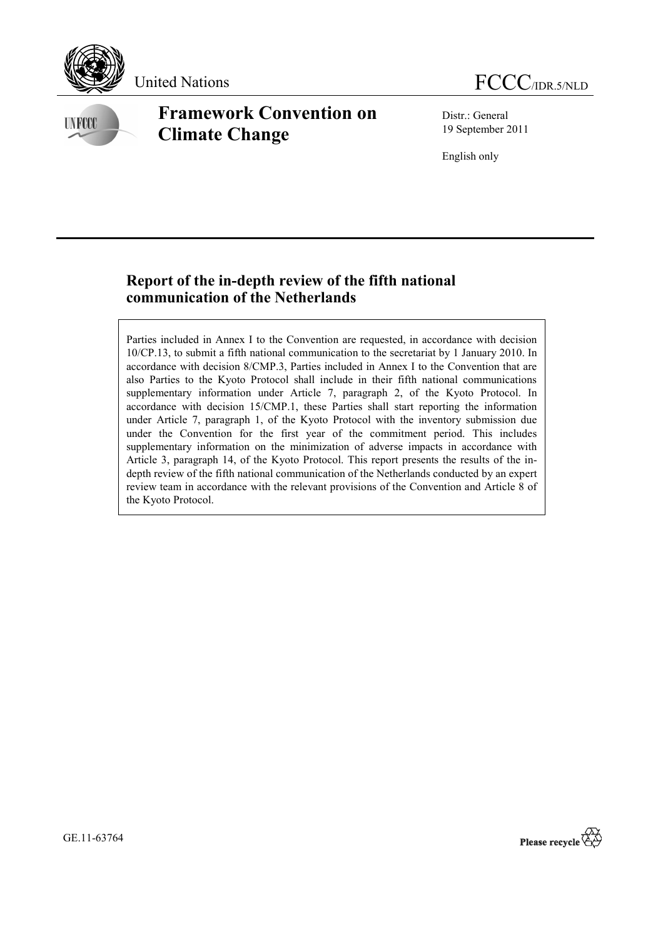

**INFCCC** 

# **Framework Convention on Climate Change**

Distr.: General 19 September 2011

English only

## **Report of the in-depth review of the fifth national communication of the Netherlands**

Parties included in Annex I to the Convention are requested, in accordance with decision 10/CP.13, to submit a fifth national communication to the secretariat by 1 January 2010. In accordance with decision 8/CMP.3, Parties included in Annex I to the Convention that are also Parties to the Kyoto Protocol shall include in their fifth national communications supplementary information under Article 7, paragraph 2, of the Kyoto Protocol. In accordance with decision 15/CMP.1, these Parties shall start reporting the information under Article 7, paragraph 1, of the Kyoto Protocol with the inventory submission due under the Convention for the first year of the commitment period. This includes supplementary information on the minimization of adverse impacts in accordance with Article 3, paragraph 14, of the Kyoto Protocol. This report presents the results of the indepth review of the fifth national communication of the Netherlands conducted by an expert review team in accordance with the relevant provisions of the Convention and Article 8 of the Kyoto Protocol.

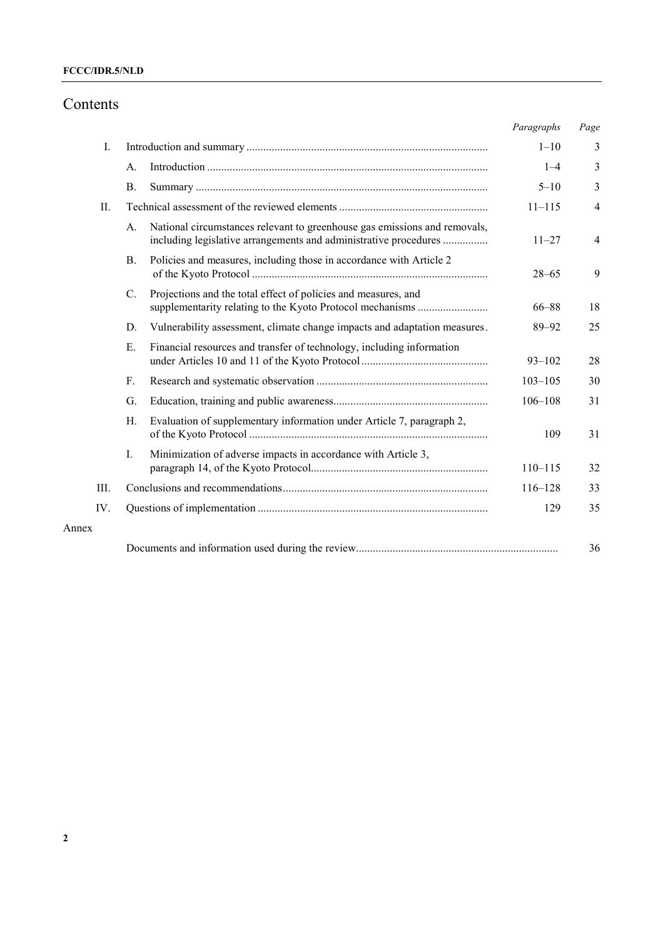## **FCCC/IDR.5/NLD**

## Contents

|       |     |           |                                                                                                                                               | Paragraphs  | Page           |
|-------|-----|-----------|-----------------------------------------------------------------------------------------------------------------------------------------------|-------------|----------------|
|       | Ι.  |           |                                                                                                                                               | $1 - 10$    | 3              |
|       |     | A.        |                                                                                                                                               | $1 - 4$     | 3              |
|       |     | <b>B.</b> |                                                                                                                                               | $5 - 10$    | 3              |
|       | П.  |           |                                                                                                                                               | $11 - 115$  | $\overline{4}$ |
|       |     | А.        | National circumstances relevant to greenhouse gas emissions and removals,<br>including legislative arrangements and administrative procedures | $11 - 27$   | $\overline{4}$ |
|       |     | <b>B.</b> | Policies and measures, including those in accordance with Article 2                                                                           | $28 - 65$   | 9              |
|       |     | C.        | Projections and the total effect of policies and measures, and                                                                                | $66 - 88$   | 18             |
|       |     | D.        | Vulnerability assessment, climate change impacts and adaptation measures.                                                                     | $89 - 92$   | 25             |
|       |     | Ε.        | Financial resources and transfer of technology, including information                                                                         | $93 - 102$  | 28             |
|       |     | F.        |                                                                                                                                               | $103 - 105$ | 30             |
|       |     | G.        |                                                                                                                                               | $106 - 108$ | 31             |
|       |     | Н.        | Evaluation of supplementary information under Article 7, paragraph 2,                                                                         | 109         | 31             |
|       |     | L         | Minimization of adverse impacts in accordance with Article 3,                                                                                 | $110 - 115$ | 32             |
|       | Ш.  |           |                                                                                                                                               | $116 - 128$ | 33             |
|       | IV. |           |                                                                                                                                               | 129         | 35             |
| Annex |     |           |                                                                                                                                               |             |                |
|       |     |           |                                                                                                                                               |             | 36             |

Annex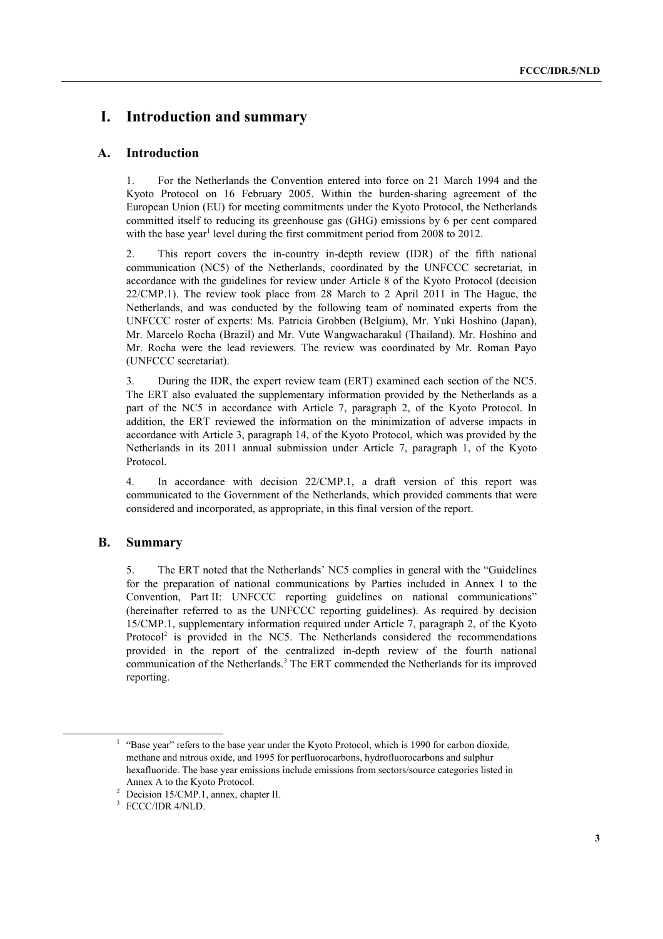## **I. Introduction and summary**

### **A. Introduction**

1. For the Netherlands the Convention entered into force on 21 March 1994 and the Kyoto Protocol on 16 February 2005. Within the burden-sharing agreement of the European Union (EU) for meeting commitments under the Kyoto Protocol, the Netherlands committed itself to reducing its greenhouse gas (GHG) emissions by 6 per cent compared with the base year<sup>1</sup> level during the first commitment period from 2008 to 2012.

2. This report covers the in-country in-depth review (IDR) of the fifth national communication (NC5) of the Netherlands, coordinated by the UNFCCC secretariat, in accordance with the guidelines for review under Article 8 of the Kyoto Protocol (decision 22/CMP.1). The review took place from 28 March to 2 April 2011 in The Hague, the Netherlands, and was conducted by the following team of nominated experts from the UNFCCC roster of experts: Ms. Patricia Grobben (Belgium), Mr. Yuki Hoshino (Japan), Mr. Marcelo Rocha (Brazil) and Mr. Vute Wangwacharakul (Thailand). Mr. Hoshino and Mr. Rocha were the lead reviewers. The review was coordinated by Mr. Roman Payo (UNFCCC secretariat).

3. During the IDR, the expert review team (ERT) examined each section of the NC5. The ERT also evaluated the supplementary information provided by the Netherlands as a part of the NC5 in accordance with Article 7, paragraph 2, of the Kyoto Protocol. In addition, the ERT reviewed the information on the minimization of adverse impacts in accordance with Article 3, paragraph 14, of the Kyoto Protocol, which was provided by the Netherlands in its 2011 annual submission under Article 7, paragraph 1, of the Kyoto Protocol.

4. In accordance with decision 22/CMP.1, a draft version of this report was communicated to the Government of the Netherlands, which provided comments that were considered and incorporated, as appropriate, in this final version of the report.

## **B. Summary**

5. The ERT noted that the Netherlands' NC5 complies in general with the "Guidelines" for the preparation of national communications by Parties included in Annex I to the Convention, Part II: UNFCCC reporting guidelines on national communications" (hereinafter referred to as the UNFCCC reporting guidelines). As required by decision 15/CMP.1, supplementary information required under Article 7, paragraph 2, of the Kyoto Protocol<sup>2</sup> is provided in the NC5. The Netherlands considered the recommendations provided in the report of the centralized in-depth review of the fourth national communication of the Netherlands.<sup>3</sup> The ERT commended the Netherlands for its improved reporting.

<sup>&</sup>lt;u>1</u>  $<sup>1</sup>$  "Base year" refers to the base year under the Kyoto Protocol, which is 1990 for carbon dioxide,</sup> methane and nitrous oxide, and 1995 for perfluorocarbons, hydrofluorocarbons and sulphur hexafluoride. The base year emissions include emissions from sectors/source categories listed in

Annex A to the Kyoto Protocol.<br><sup>2</sup> Decision 15/CMP.1, annex, chapter II.

<sup>3</sup> FCCC/IDR.4/NLD.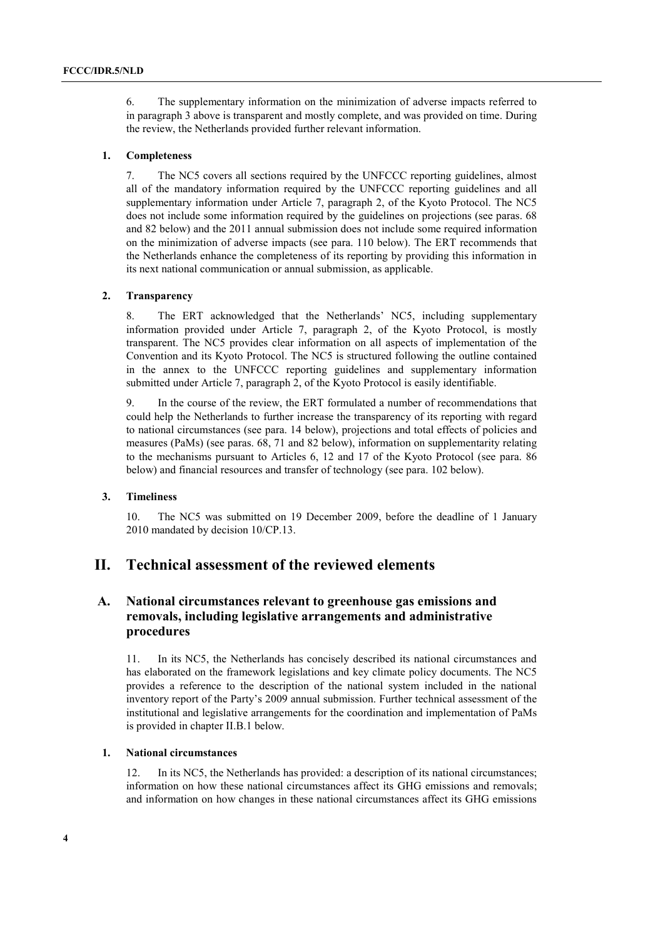6. The supplementary information on the minimization of adverse impacts referred to in paragraph 3 above is transparent and mostly complete, and was provided on time. During the review, the Netherlands provided further relevant information.

#### **1. Completeness**

7. The NC5 covers all sections required by the UNFCCC reporting guidelines, almost all of the mandatory information required by the UNFCCC reporting guidelines and all supplementary information under Article 7, paragraph 2, of the Kyoto Protocol. The NC5 does not include some information required by the guidelines on projections (see paras. 68 and 82 below) and the 2011 annual submission does not include some required information on the minimization of adverse impacts (see para. 110 below). The ERT recommends that the Netherlands enhance the completeness of its reporting by providing this information in its next national communication or annual submission, as applicable.

#### **2. Transparency**

8. The ERT acknowledged that the Netherlands' NC5, including supplementary information provided under Article 7, paragraph 2, of the Kyoto Protocol, is mostly transparent. The NC5 provides clear information on all aspects of implementation of the Convention and its Kyoto Protocol. The NC5 is structured following the outline contained in the annex to the UNFCCC reporting guidelines and supplementary information submitted under Article 7, paragraph 2, of the Kyoto Protocol is easily identifiable.

9. In the course of the review, the ERT formulated a number of recommendations that could help the Netherlands to further increase the transparency of its reporting with regard to national circumstances (see para. 14 below), projections and total effects of policies and measures (PaMs) (see paras. 68, 71 and 82 below), information on supplementarity relating to the mechanisms pursuant to Articles 6, 12 and 17 of the Kyoto Protocol (see para. 86 below) and financial resources and transfer of technology (see para. 102 below).

#### **3. Timeliness**

10. The NC5 was submitted on 19 December 2009, before the deadline of 1 January 2010 mandated by decision 10/CP.13.

## **II. Technical assessment of the reviewed elements**

## **A. National circumstances relevant to greenhouse gas emissions and removals, including legislative arrangements and administrative procedures**

11. In its NC5, the Netherlands has concisely described its national circumstances and has elaborated on the framework legislations and key climate policy documents. The NC5 provides a reference to the description of the national system included in the national inventory report of the Party's 2009 annual submission. Further technical assessment of the institutional and legislative arrangements for the coordination and implementation of PaMs is provided in chapter II.B.1 below.

#### **1. National circumstances**

12. In its NC5, the Netherlands has provided: a description of its national circumstances; information on how these national circumstances affect its GHG emissions and removals; and information on how changes in these national circumstances affect its GHG emissions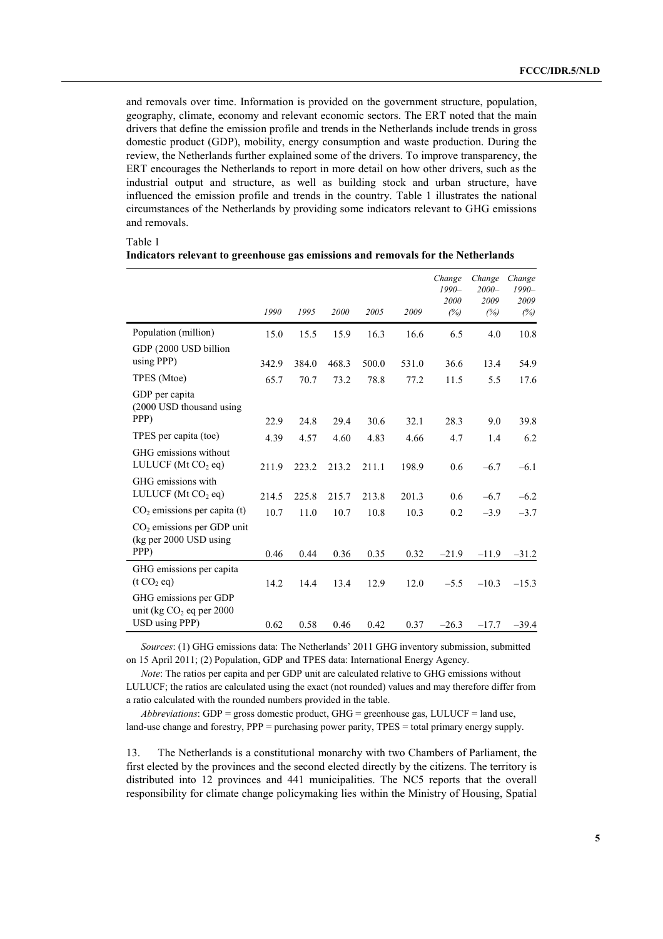and removals over time. Information is provided on the government structure, population, geography, climate, economy and relevant economic sectors. The ERT noted that the main drivers that define the emission profile and trends in the Netherlands include trends in gross domestic product (GDP), mobility, energy consumption and waste production. During the review, the Netherlands further explained some of the drivers. To improve transparency, the ERT encourages the Netherlands to report in more detail on how other drivers, such as the industrial output and structure, as well as building stock and urban structure, have influenced the emission profile and trends in the country. Table 1 illustrates the national circumstances of the Netherlands by providing some indicators relevant to GHG emissions and removals.

|                                                                | 1990  | 1995  | 2000  | 2005  | 2009  | Change<br>$1990 -$<br>2000<br>(%) | Change<br>$2000 -$<br>2009<br>(%) | Change<br>$1990 -$<br>2009<br>(%) |
|----------------------------------------------------------------|-------|-------|-------|-------|-------|-----------------------------------|-----------------------------------|-----------------------------------|
| Population (million)                                           | 15.0  | 15.5  | 15.9  | 16.3  | 16.6  | 6.5                               | 4.0                               | 10.8                              |
| GDP (2000 USD billion<br>using PPP)                            | 342.9 | 384.0 | 468.3 | 500.0 | 531.0 | 36.6                              | 13.4                              | 54.9                              |
| TPES (Mtoe)                                                    | 65.7  | 70.7  | 73.2  | 78.8  | 77.2  | 11.5                              | 5.5                               | 17.6                              |
| GDP per capita<br>(2000 USD thousand using<br>PPP)             | 22.9  | 24.8  | 29.4  | 30.6  | 32.1  | 28.3                              | 9.0                               | 39.8                              |
| TPES per capita (toe)                                          | 4.39  | 4.57  | 4.60  | 4.83  | 4.66  | 4.7                               | 1.4                               | 6.2                               |
| GHG emissions without<br>LULUCF (Mt $CO2$ eq)                  | 211.9 | 223.2 | 213.2 | 211.1 | 198.9 | 0.6                               | $-6.7$                            | $-6.1$                            |
| GHG emissions with<br>LULUCF (Mt $CO2$ eq)                     | 214.5 | 225.8 | 215.7 | 213.8 | 201.3 | 0.6                               | $-6.7$                            | $-6.2$                            |
| $CO2$ emissions per capita (t)                                 | 10.7  | 11.0  | 10.7  | 10.8  | 10.3  | 0.2                               | $-3.9$                            | $-3.7$                            |
| $CO2$ emissions per GDP unit<br>(kg per 2000 USD using<br>PPP) |       |       |       |       |       |                                   |                                   |                                   |
|                                                                | 0.46  | 0.44  | 0.36  | 0.35  | 0.32  | $-21.9$                           | $-11.9$                           | $-31.2$                           |
| GHG emissions per capita<br>(t CO <sub>2</sub> eq)             | 14.2  | 14.4  | 13.4  | 12.9  | 12.0  | $-5.5$                            | $-10.3$                           | $-15.3$                           |
| GHG emissions per GDP<br>unit (kg $CO2$ eq per 2000            |       |       |       |       |       |                                   |                                   |                                   |
| USD using PPP)                                                 | 0.62  | 0.58  | 0.46  | 0.42  | 0.37  | $-26.3$                           | $-17.7$                           | $-39.4$                           |

#### **Indicators relevant to greenhouse gas emissions and removals for the Netherlands**

Table 1

*Sources*: (1) GHG emissions data: The Netherlands<sup>2</sup> 2011 GHG inventory submission, submitted on 15 April 2011; (2) Population, GDP and TPES data: International Energy Agency.

*Note*: The ratios per capita and per GDP unit are calculated relative to GHG emissions without LULUCF; the ratios are calculated using the exact (not rounded) values and may therefore differ from a ratio calculated with the rounded numbers provided in the table.

*Abbreviations*: GDP = gross domestic product, GHG = greenhouse gas, LULUCF = land use, land-use change and forestry, PPP = purchasing power parity, TPES = total primary energy supply.

13. The Netherlands is a constitutional monarchy with two Chambers of Parliament, the first elected by the provinces and the second elected directly by the citizens. The territory is distributed into 12 provinces and 441 municipalities. The NC5 reports that the overall responsibility for climate change policymaking lies within the Ministry of Housing, Spatial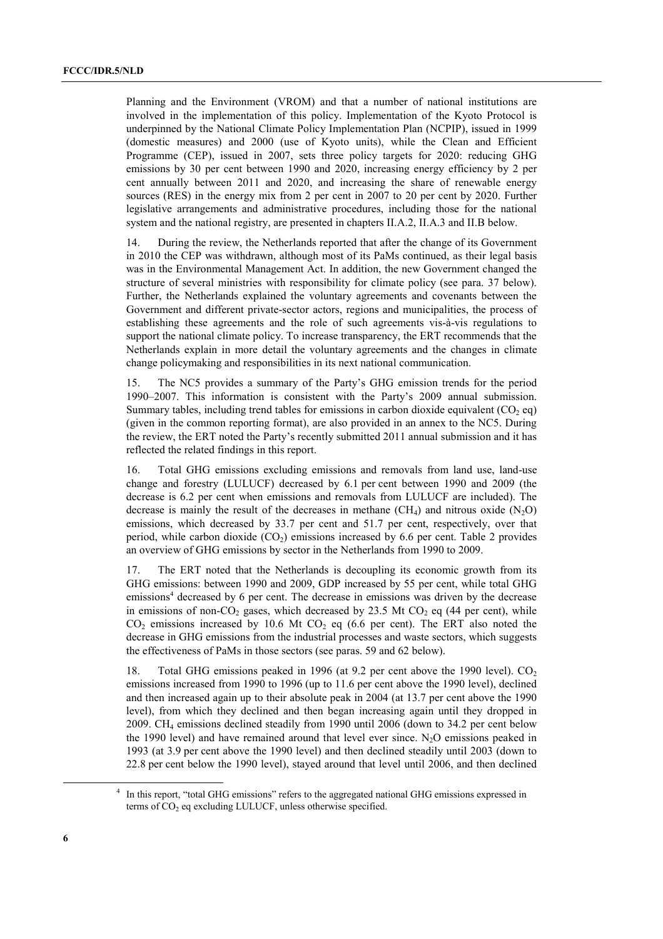Planning and the Environment (VROM) and that a number of national institutions are involved in the implementation of this policy. Implementation of the Kyoto Protocol is underpinned by the National Climate Policy Implementation Plan (NCPIP), issued in 1999 (domestic measures) and 2000 (use of Kyoto units), while the Clean and Efficient Programme (CEP), issued in 2007, sets three policy targets for 2020; reducing GHG emissions by 30 per cent between 1990 and 2020, increasing energy efficiency by 2 per cent annually between 2011 and 2020, and increasing the share of renewable energy sources (RES) in the energy mix from 2 per cent in 2007 to 20 per cent by 2020. Further legislative arrangements and administrative procedures, including those for the national system and the national registry, are presented in chapters II.A.2, II.A.3 and II.B below.

14. During the review, the Netherlands reported that after the change of its Government in 2010 the CEP was withdrawn, although most of its PaMs continued, as their legal basis was in the Environmental Management Act. In addition, the new Government changed the structure of several ministries with responsibility for climate policy (see para. 37 below). Further, the Netherlands explained the voluntary agreements and covenants between the Government and different private-sector actors, regions and municipalities, the process of establishing these agreements and the role of such agreements vis- $\dot{a}$ -vis regulations to support the national climate policy. To increase transparency, the ERT recommends that the Netherlands explain in more detail the voluntary agreements and the changes in climate change policymaking and responsibilities in its next national communication.

15. The NC5 provides a summary of the Partyís GHG emission trends for the period 1990–2007. This information is consistent with the Party's 2009 annual submission. Summary tables, including trend tables for emissions in carbon dioxide equivalent  $(CO, \text{eq})$ (given in the common reporting format), are also provided in an annex to the NC5. During the review, the ERT noted the Party's recently submitted 2011 annual submission and it has reflected the related findings in this report.

16. Total GHG emissions excluding emissions and removals from land use, land-use change and forestry (LULUCF) decreased by 6.1 per cent between 1990 and 2009 (the decrease is 6.2 per cent when emissions and removals from LULUCF are included). The decrease is mainly the result of the decreases in methane  $(CH_4)$  and nitrous oxide  $(N_2O)$ emissions, which decreased by 33.7 per cent and 51.7 per cent, respectively, over that period, while carbon dioxide  $(CO<sub>2</sub>)$  emissions increased by 6.6 per cent. Table 2 provides an overview of GHG emissions by sector in the Netherlands from 1990 to 2009.

17. The ERT noted that the Netherlands is decoupling its economic growth from its GHG emissions: between 1990 and 2009, GDP increased by 55 per cent, while total GHG emissions<sup>4</sup> decreased by 6 per cent. The decrease in emissions was driven by the decrease in emissions of non- $CO<sub>2</sub>$  gases, which decreased by 23.5 Mt  $CO<sub>2</sub>$  eq (44 per cent), while  $CO<sub>2</sub>$  emissions increased by 10.6 Mt  $CO<sub>2</sub>$  eq (6.6 per cent). The ERT also noted the decrease in GHG emissions from the industrial processes and waste sectors, which suggests the effectiveness of PaMs in those sectors (see paras. 59 and 62 below).

18. Total GHG emissions peaked in 1996 (at 9.2 per cent above the 1990 level). CO<sub>2</sub> emissions increased from 1990 to 1996 (up to 11.6 per cent above the 1990 level), declined and then increased again up to their absolute peak in 2004 (at 13.7 per cent above the 1990 level), from which they declined and then began increasing again until they dropped in 2009. CH4 emissions declined steadily from 1990 until 2006 (down to 34.2 per cent below the 1990 level) and have remained around that level ever since.  $N_2O$  emissions peaked in 1993 (at 3.9 per cent above the 1990 level) and then declined steadily until 2003 (down to 22.8 per cent below the 1990 level), stayed around that level until 2006, and then declined

 <sup>4</sup> <sup>4</sup> In this report, "total GHG emissions" refers to the aggregated national GHG emissions expressed in terms of  $CO<sub>2</sub>$  eq excluding LULUCF, unless otherwise specified.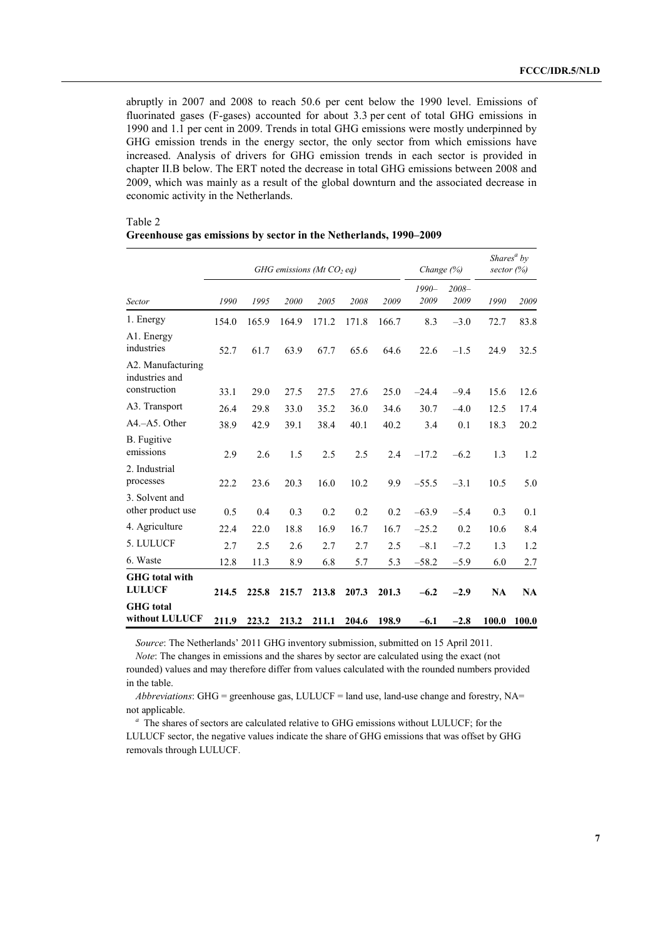abruptly in 2007 and 2008 to reach 50.6 per cent below the 1990 level. Emissions of fluorinated gases (F-gases) accounted for about 3.3 per cent of total GHG emissions in 1990 and 1.1 per cent in 2009. Trends in total GHG emissions were mostly underpinned by GHG emission trends in the energy sector, the only sector from which emissions have increased. Analysis of drivers for GHG emission trends in each sector is provided in chapter II.B below. The ERT noted the decrease in total GHG emissions between 2008 and 2009, which was mainly as a result of the global downturn and the associated decrease in economic activity in the Netherlands.

|                                        |       |       | GHG emissions ( $Mt$ CO <sub>2</sub> eq) |       |       |       | Change (%)      |                  | sector $(\%)$ | Shares <sup><math>a</math></sup> by |
|----------------------------------------|-------|-------|------------------------------------------|-------|-------|-------|-----------------|------------------|---------------|-------------------------------------|
| Sector                                 | 1990  | 1995  | 2000                                     | 2005  | 2008  | 2009  | $1990-$<br>2009 | $2008 -$<br>2009 | 1990          | 2009                                |
| 1. Energy                              | 154.0 | 165.9 | 164.9                                    | 171.2 | 171.8 | 166.7 | 8.3             | $-3.0$           | 72.7          | 83.8                                |
| A1. Energy<br>industries               | 52.7  | 61.7  | 63.9                                     | 67.7  | 65.6  | 64.6  | 22.6            | $-1.5$           | 24.9          | 32.5                                |
| A2. Manufacturing<br>industries and    |       |       |                                          |       |       |       |                 |                  |               |                                     |
| construction                           | 33.1  | 29.0  | 27.5                                     | 27.5  | 27.6  | 25.0  | $-24.4$         | $-9.4$           | 15.6          | 12.6                                |
| A3. Transport                          | 26.4  | 29.8  | 33.0                                     | 35.2  | 36.0  | 34.6  | 30.7            | $-4.0$           | 12.5          | 17.4                                |
| $A4 - A5$ . Other                      | 38.9  | 42.9  | 39.1                                     | 38.4  | 40.1  | 40.2  | 3.4             | 0.1              | 18.3          | 20.2                                |
| B. Fugitive<br>emissions               | 2.9   | 2.6   | 1.5                                      | 2.5   | 2.5   | 2.4   | $-17.2$         | $-6.2$           | 1.3           | 1.2                                 |
| 2. Industrial<br>processes             | 22.2  | 23.6  | 20.3                                     | 16.0  | 10.2  | 9.9   | $-55.5$         | $-3.1$           | 10.5          | 5.0                                 |
| 3. Solvent and<br>other product use    | 0.5   | 0.4   | 0.3                                      | 0.2   | 0.2   | 0.2   | $-63.9$         | $-5.4$           | 0.3           | 0.1                                 |
| 4. Agriculture                         | 22.4  | 22.0  | 18.8                                     | 16.9  | 16.7  | 16.7  | $-25.2$         | 0.2              | 10.6          | 8.4                                 |
| 5. LULUCF                              | 2.7   | 2.5   | 2.6                                      | 2.7   | 2.7   | 2.5   | $-8.1$          | $-7.2$           | 1.3           | 1.2                                 |
| 6. Waste                               | 12.8  | 11.3  | 8.9                                      | 6.8   | 5.7   | 5.3   | $-58.2$         | $-5.9$           | 6.0           | 2.7                                 |
| <b>GHG</b> total with<br><b>LULUCF</b> | 214.5 | 225.8 | 215.7                                    | 213.8 | 207.3 | 201.3 | $-6.2$          | $-2.9$           | <b>NA</b>     | <b>NA</b>                           |
| <b>GHG</b> total<br>without LULUCF     | 211.9 | 223.2 | 213.2                                    | 211.1 | 204.6 | 198.9 | $-6.1$          | $-2.8$           | 100.0         | 100.0                               |

#### Table 2 Greenhouse gas emissions by sector in the Netherlands, 1990–2009

*Source*: The Netherlands' 2011 GHG inventory submission, submitted on 15 April 2011.

*Note*: The changes in emissions and the shares by sector are calculated using the exact (not rounded) values and may therefore differ from values calculated with the rounded numbers provided in the table.

*Abbreviations*: GHG = greenhouse gas, LULUCF = land use, land-use change and forestry, NA= not applicable.

*a* The shares of sectors are calculated relative to GHG emissions without LULUCF; for the LULUCF sector, the negative values indicate the share of GHG emissions that was offset by GHG removals through LULUCF.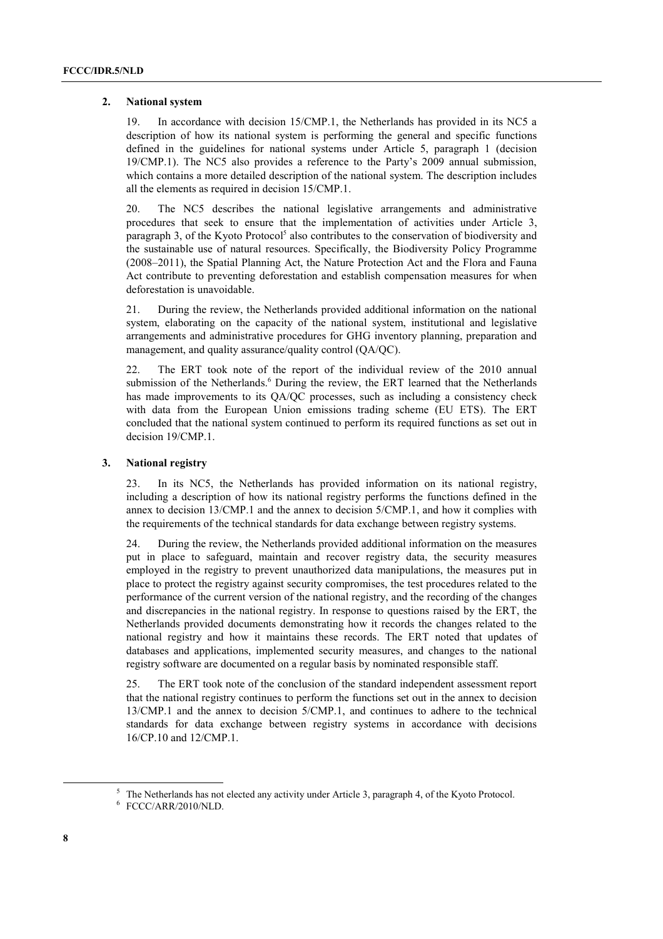#### **2. National system**

19. In accordance with decision 15/CMP.1, the Netherlands has provided in its NC5 a description of how its national system is performing the general and specific functions defined in the guidelines for national systems under Article 5, paragraph 1 (decision 19/CMP.1). The NC5 also provides a reference to the Partyís 2009 annual submission, which contains a more detailed description of the national system. The description includes all the elements as required in decision 15/CMP.1.

20. The NC5 describes the national legislative arrangements and administrative procedures that seek to ensure that the implementation of activities under Article 3, paragraph 3, of the Kyoto Protocol<sup>5</sup> also contributes to the conservation of biodiversity and the sustainable use of natural resources. Specifically, the Biodiversity Policy Programme  $(2008–2011)$ , the Spatial Planning Act, the Nature Protection Act and the Flora and Fauna Act contribute to preventing deforestation and establish compensation measures for when deforestation is unavoidable.

21. During the review, the Netherlands provided additional information on the national system, elaborating on the capacity of the national system, institutional and legislative arrangements and administrative procedures for GHG inventory planning, preparation and management, and quality assurance/quality control (QA/QC).

22. The ERT took note of the report of the individual review of the 2010 annual submission of the Netherlands.<sup>6</sup> During the review, the ERT learned that the Netherlands has made improvements to its QA/QC processes, such as including a consistency check with data from the European Union emissions trading scheme (EU ETS). The ERT concluded that the national system continued to perform its required functions as set out in decision 19/CMP.1.

#### **3. National registry**

23. In its NC5, the Netherlands has provided information on its national registry, including a description of how its national registry performs the functions defined in the annex to decision 13/CMP.1 and the annex to decision 5/CMP.1, and how it complies with the requirements of the technical standards for data exchange between registry systems.

24. During the review, the Netherlands provided additional information on the measures put in place to safeguard, maintain and recover registry data, the security measures employed in the registry to prevent unauthorized data manipulations, the measures put in place to protect the registry against security compromises, the test procedures related to the performance of the current version of the national registry, and the recording of the changes and discrepancies in the national registry. In response to questions raised by the ERT, the Netherlands provided documents demonstrating how it records the changes related to the national registry and how it maintains these records. The ERT noted that updates of databases and applications, implemented security measures, and changes to the national registry software are documented on a regular basis by nominated responsible staff.

25. The ERT took note of the conclusion of the standard independent assessment report that the national registry continues to perform the functions set out in the annex to decision 13/CMP.1 and the annex to decision 5/CMP.1, and continues to adhere to the technical standards for data exchange between registry systems in accordance with decisions 16/CP.10 and 12/CMP.1.

 $\frac{1}{5}$ <sup>5</sup> The Netherlands has not elected any activity under Article 3, paragraph 4, of the Kyoto Protocol.

<sup>6</sup> FCCC/ARR/2010/NLD.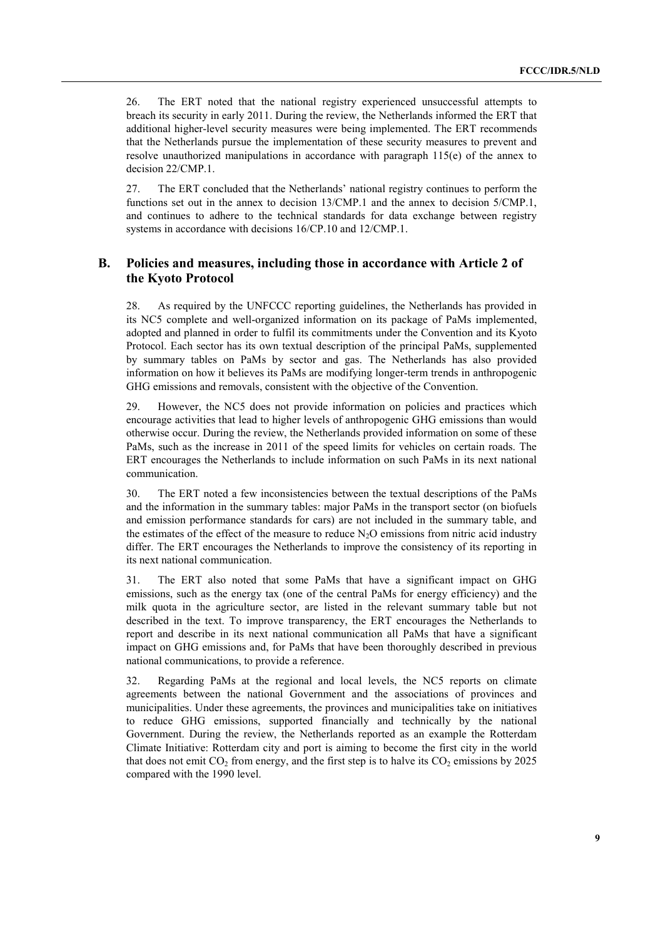26. The ERT noted that the national registry experienced unsuccessful attempts to breach its security in early 2011. During the review, the Netherlands informed the ERT that additional higher-level security measures were being implemented. The ERT recommends that the Netherlands pursue the implementation of these security measures to prevent and resolve unauthorized manipulations in accordance with paragraph 115(e) of the annex to decision 22/CMP.1.

27. The ERT concluded that the Netherlands' national registry continues to perform the functions set out in the annex to decision 13/CMP.1 and the annex to decision 5/CMP.1, and continues to adhere to the technical standards for data exchange between registry systems in accordance with decisions 16/CP.10 and 12/CMP.1.

## **B. Policies and measures, including those in accordance with Article 2 of the Kyoto Protocol**

28. As required by the UNFCCC reporting guidelines, the Netherlands has provided in its NC5 complete and well-organized information on its package of PaMs implemented, adopted and planned in order to fulfil its commitments under the Convention and its Kyoto Protocol. Each sector has its own textual description of the principal PaMs, supplemented by summary tables on PaMs by sector and gas. The Netherlands has also provided information on how it believes its PaMs are modifying longer-term trends in anthropogenic GHG emissions and removals, consistent with the objective of the Convention.

29. However, the NC5 does not provide information on policies and practices which encourage activities that lead to higher levels of anthropogenic GHG emissions than would otherwise occur. During the review, the Netherlands provided information on some of these PaMs, such as the increase in 2011 of the speed limits for vehicles on certain roads. The ERT encourages the Netherlands to include information on such PaMs in its next national communication.

30. The ERT noted a few inconsistencies between the textual descriptions of the PaMs and the information in the summary tables: major PaMs in the transport sector (on biofuels and emission performance standards for cars) are not included in the summary table, and the estimates of the effect of the measure to reduce  $N<sub>2</sub>O$  emissions from nitric acid industry differ. The ERT encourages the Netherlands to improve the consistency of its reporting in its next national communication.

31. The ERT also noted that some PaMs that have a significant impact on GHG emissions, such as the energy tax (one of the central PaMs for energy efficiency) and the milk quota in the agriculture sector, are listed in the relevant summary table but not described in the text. To improve transparency, the ERT encourages the Netherlands to report and describe in its next national communication all PaMs that have a significant impact on GHG emissions and, for PaMs that have been thoroughly described in previous national communications, to provide a reference.

32. Regarding PaMs at the regional and local levels, the NC5 reports on climate agreements between the national Government and the associations of provinces and municipalities. Under these agreements, the provinces and municipalities take on initiatives to reduce GHG emissions, supported financially and technically by the national Government. During the review, the Netherlands reported as an example the Rotterdam Climate Initiative: Rotterdam city and port is aiming to become the first city in the world that does not emit  $CO_2$  from energy, and the first step is to halve its  $CO_2$  emissions by 2025 compared with the 1990 level.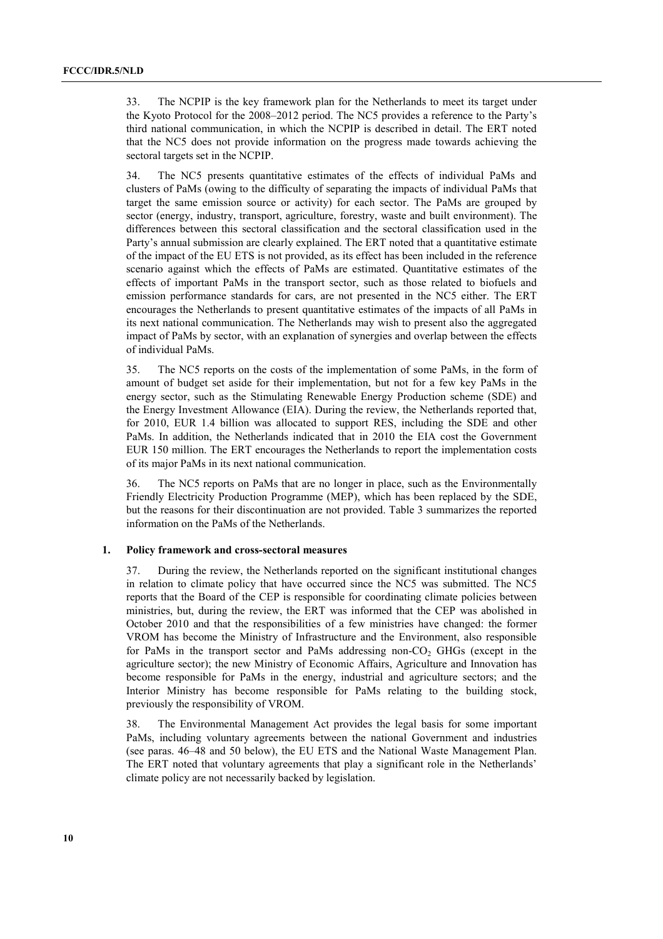33. The NCPIP is the key framework plan for the Netherlands to meet its target under the Kyoto Protocol for the 2008–2012 period. The NC5 provides a reference to the Party's third national communication, in which the NCPIP is described in detail. The ERT noted that the NC5 does not provide information on the progress made towards achieving the sectoral targets set in the NCPIP.

34. The NC5 presents quantitative estimates of the effects of individual PaMs and clusters of PaMs (owing to the difficulty of separating the impacts of individual PaMs that target the same emission source or activity) for each sector. The PaMs are grouped by sector (energy, industry, transport, agriculture, forestry, waste and built environment). The differences between this sectoral classification and the sectoral classification used in the Party's annual submission are clearly explained. The ERT noted that a quantitative estimate of the impact of the EU ETS is not provided, as its effect has been included in the reference scenario against which the effects of PaMs are estimated. Quantitative estimates of the effects of important PaMs in the transport sector, such as those related to biofuels and emission performance standards for cars, are not presented in the NC5 either. The ERT encourages the Netherlands to present quantitative estimates of the impacts of all PaMs in its next national communication. The Netherlands may wish to present also the aggregated impact of PaMs by sector, with an explanation of synergies and overlap between the effects of individual PaMs.

35. The NC5 reports on the costs of the implementation of some PaMs, in the form of amount of budget set aside for their implementation, but not for a few key PaMs in the energy sector, such as the Stimulating Renewable Energy Production scheme (SDE) and the Energy Investment Allowance (EIA). During the review, the Netherlands reported that, for 2010, EUR 1.4 billion was allocated to support RES, including the SDE and other PaMs. In addition, the Netherlands indicated that in 2010 the EIA cost the Government EUR 150 million. The ERT encourages the Netherlands to report the implementation costs of its major PaMs in its next national communication.

36. The NC5 reports on PaMs that are no longer in place, such as the Environmentally Friendly Electricity Production Programme (MEP), which has been replaced by the SDE, but the reasons for their discontinuation are not provided. Table 3 summarizes the reported information on the PaMs of the Netherlands.

#### **1. Policy framework and cross-sectoral measures**

37. During the review, the Netherlands reported on the significant institutional changes in relation to climate policy that have occurred since the NC5 was submitted. The NC5 reports that the Board of the CEP is responsible for coordinating climate policies between ministries, but, during the review, the ERT was informed that the CEP was abolished in October 2010 and that the responsibilities of a few ministries have changed: the former VROM has become the Ministry of Infrastructure and the Environment, also responsible for PaMs in the transport sector and PaMs addressing non- $CO<sub>2</sub>$  GHGs (except in the agriculture sector); the new Ministry of Economic Affairs, Agriculture and Innovation has become responsible for PaMs in the energy, industrial and agriculture sectors; and the Interior Ministry has become responsible for PaMs relating to the building stock, previously the responsibility of VROM.

38. The Environmental Management Act provides the legal basis for some important PaMs, including voluntary agreements between the national Government and industries (see paras.  $46-48$  and 50 below), the EU ETS and the National Waste Management Plan. The ERT noted that voluntary agreements that play a significant role in the Netherlands' climate policy are not necessarily backed by legislation.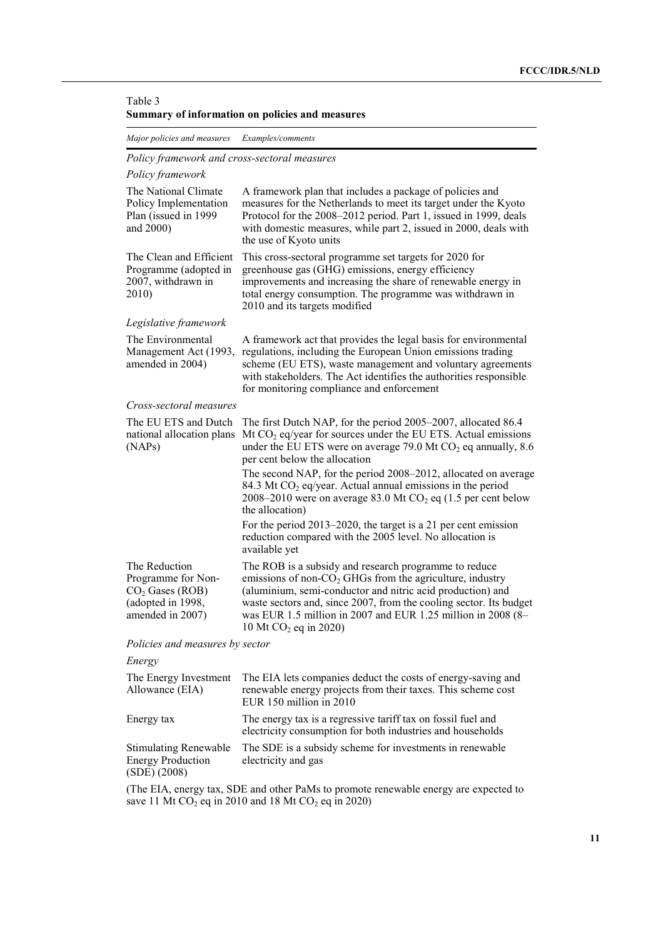#### Table 3 **Summary of information on policies and measures**

*Major policies and measures Examples/comments* 

### *Policy framework and cross-sectoral measures*

### *Policy framework*

| The National Climate<br>Policy Implementation<br>Plan (issued in 1999<br>and 2000)                | A framework plan that includes a package of policies and<br>measures for the Netherlands to meet its target under the Kyoto<br>Protocol for the 2008-2012 period. Part 1, issued in 1999, deals<br>with domestic measures, while part 2, issued in 2000, deals with<br>the use of Kyoto units                                                                                                                                                      |
|---------------------------------------------------------------------------------------------------|----------------------------------------------------------------------------------------------------------------------------------------------------------------------------------------------------------------------------------------------------------------------------------------------------------------------------------------------------------------------------------------------------------------------------------------------------|
| The Clean and Efficient<br>Programme (adopted in<br>2007, withdrawn in<br>2010)                   | This cross-sectoral programme set targets for 2020 for<br>greenhouse gas (GHG) emissions, energy efficiency<br>improvements and increasing the share of renewable energy in<br>total energy consumption. The programme was withdrawn in<br>2010 and its targets modified                                                                                                                                                                           |
| Legislative framework                                                                             |                                                                                                                                                                                                                                                                                                                                                                                                                                                    |
| The Environmental<br>Management Act (1993,<br>amended in 2004)                                    | A framework act that provides the legal basis for environmental<br>regulations, including the European Union emissions trading<br>scheme (EU ETS), waste management and voluntary agreements<br>with stakeholders. The Act identifies the authorities responsible<br>for monitoring compliance and enforcement                                                                                                                                     |
| Cross-sectoral measures                                                                           |                                                                                                                                                                                                                                                                                                                                                                                                                                                    |
| The EU ETS and Dutch<br>national allocation plans<br>(NAPs)                                       | The first Dutch NAP, for the period 2005–2007, allocated 86.4<br>Mt $CO2$ eq/year for sources under the EU ETS. Actual emissions<br>under the EU ETS were on average 79.0 Mt $CO2$ eq annually, 8.6<br>per cent below the allocation<br>The second NAP, for the period 2008–2012, allocated on average<br>84.3 Mt CO <sub>2</sub> eq/year. Actual annual emissions in the period<br>2008–2010 were on average 83.0 Mt $CO2$ eq (1.5 per cent below |
|                                                                                                   | the allocation)                                                                                                                                                                                                                                                                                                                                                                                                                                    |
|                                                                                                   | For the period 2013–2020, the target is a 21 per cent emission<br>reduction compared with the 2005 level. No allocation is<br>available yet                                                                                                                                                                                                                                                                                                        |
| The Reduction<br>Programme for Non-<br>$CO2$ Gases (ROB)<br>(adopted in 1998,<br>amended in 2007) | The ROB is a subsidy and research programme to reduce<br>emissions of non- $CO2$ GHGs from the agriculture, industry<br>(aluminium, semi-conductor and nitric acid production) and<br>waste sectors and, since 2007, from the cooling sector. Its budget<br>was EUR 1.5 million in 2007 and EUR 1.25 million in 2008 (8-<br>10 Mt $CO_2$ eq in 2020)                                                                                               |
| Policies and measures by sector                                                                   |                                                                                                                                                                                                                                                                                                                                                                                                                                                    |

## *Energy*

| The Energy Investment<br>Allowance (EIA)                                 | The EIA lets companies deduct the costs of energy-saving and<br>renewable energy projects from their taxes. This scheme cost<br>EUR 150 million in 2010 |
|--------------------------------------------------------------------------|---------------------------------------------------------------------------------------------------------------------------------------------------------|
| Energy tax                                                               | The energy tax is a regressive tariff tax on fossil fuel and<br>electricity consumption for both industries and households                              |
| <b>Stimulating Renewable</b><br><b>Energy Production</b><br>(SDE) (2008) | The SDE is a subsidy scheme for investments in renewable<br>electricity and gas                                                                         |

(The EIA, energy tax, SDE and other PaMs to promote renewable energy are expected to save 11 Mt  $CO<sub>2</sub>$  eq in 2010 and 18 Mt  $CO<sub>2</sub>$  eq in 2020)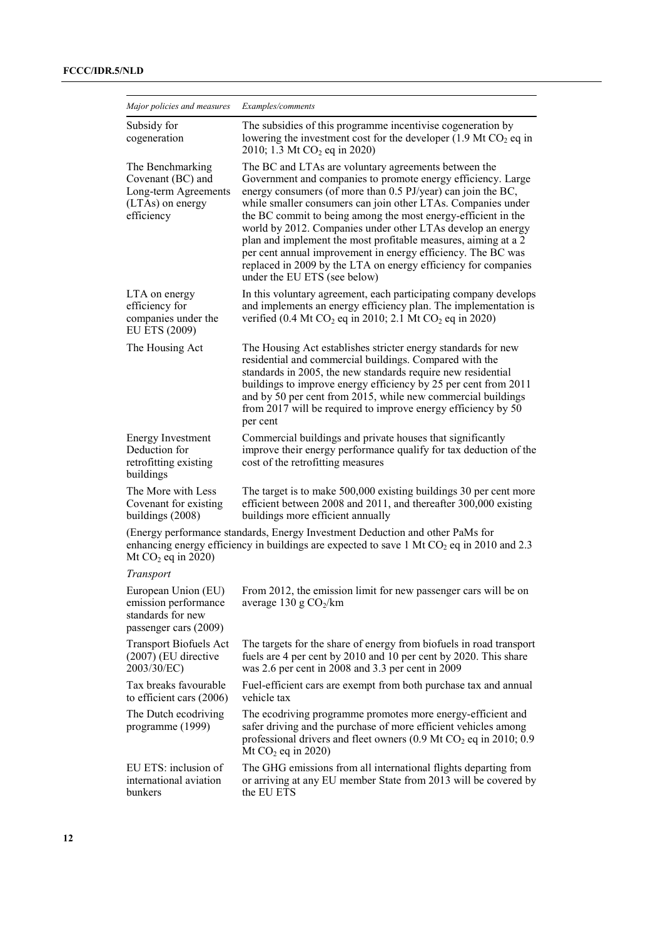| Major policies and measures                                                                     | Examples/comments                                                                                                                                                                                                                                                                                                                                                                                                                                                                                                                                                                                                        |  |  |  |  |  |  |
|-------------------------------------------------------------------------------------------------|--------------------------------------------------------------------------------------------------------------------------------------------------------------------------------------------------------------------------------------------------------------------------------------------------------------------------------------------------------------------------------------------------------------------------------------------------------------------------------------------------------------------------------------------------------------------------------------------------------------------------|--|--|--|--|--|--|
| Subsidy for<br>cogeneration                                                                     | The subsidies of this programme incentivise cogeneration by<br>lowering the investment cost for the developer $(1.9 \text{ Mt } CO_2 \text{ eq } \text{in }$<br>2010; 1.3 Mt CO <sub>2</sub> eq in 2020)                                                                                                                                                                                                                                                                                                                                                                                                                 |  |  |  |  |  |  |
| The Benchmarking<br>Covenant (BC) and<br>Long-term Agreements<br>(LTAs) on energy<br>efficiency | The BC and LTAs are voluntary agreements between the<br>Government and companies to promote energy efficiency. Large<br>energy consumers (of more than 0.5 PJ/year) can join the BC,<br>while smaller consumers can join other LTAs. Companies under<br>the BC commit to being among the most energy-efficient in the<br>world by 2012. Companies under other LTAs develop an energy<br>plan and implement the most profitable measures, aiming at a 2<br>per cent annual improvement in energy efficiency. The BC was<br>replaced in 2009 by the LTA on energy efficiency for companies<br>under the EU ETS (see below) |  |  |  |  |  |  |
| LTA on energy<br>efficiency for<br>companies under the<br>EU ETS (2009)                         | In this voluntary agreement, each participating company develops<br>and implements an energy efficiency plan. The implementation is<br>verified (0.4 Mt $CO_2$ eq in 2010; 2.1 Mt $CO_2$ eq in 2020)                                                                                                                                                                                                                                                                                                                                                                                                                     |  |  |  |  |  |  |
| The Housing Act                                                                                 | The Housing Act establishes stricter energy standards for new<br>residential and commercial buildings. Compared with the<br>standards in 2005, the new standards require new residential<br>buildings to improve energy efficiency by 25 per cent from 2011<br>and by 50 per cent from 2015, while new commercial buildings<br>from 2017 will be required to improve energy efficiency by 50<br>per cent                                                                                                                                                                                                                 |  |  |  |  |  |  |
| <b>Energy Investment</b><br>Deduction for<br>retrofitting existing<br>buildings                 | Commercial buildings and private houses that significantly<br>improve their energy performance qualify for tax deduction of the<br>cost of the retrofitting measures                                                                                                                                                                                                                                                                                                                                                                                                                                                     |  |  |  |  |  |  |
| The More with Less<br>Covenant for existing<br>buildings (2008)                                 | The target is to make 500,000 existing buildings 30 per cent more<br>efficient between 2008 and 2011, and thereafter 300,000 existing<br>buildings more efficient annually                                                                                                                                                                                                                                                                                                                                                                                                                                               |  |  |  |  |  |  |
| Mt $CO2$ eq in 2020)                                                                            | (Energy performance standards, Energy Investment Deduction and other PaMs for<br>enhancing energy efficiency in buildings are expected to save 1 Mt $CO2$ eq in 2010 and 2.3                                                                                                                                                                                                                                                                                                                                                                                                                                             |  |  |  |  |  |  |
| Transport                                                                                       |                                                                                                                                                                                                                                                                                                                                                                                                                                                                                                                                                                                                                          |  |  |  |  |  |  |
| European Union (EU)<br>emission performance<br>standards for new<br>passenger cars (2009)       | From 2012, the emission limit for new passenger cars will be on<br>average 130 g $CO2/km$                                                                                                                                                                                                                                                                                                                                                                                                                                                                                                                                |  |  |  |  |  |  |
| <b>Transport Biofuels Act</b><br>(2007) (EU directive<br>2003/30/EC)                            | The targets for the share of energy from biofuels in road transport<br>fuels are 4 per cent by 2010 and 10 per cent by 2020. This share<br>was 2.6 per cent in 2008 and 3.3 per cent in 2009                                                                                                                                                                                                                                                                                                                                                                                                                             |  |  |  |  |  |  |
| Tax breaks favourable<br>to efficient cars $(2006)$                                             | Fuel-efficient cars are exempt from both purchase tax and annual<br>vehicle tax                                                                                                                                                                                                                                                                                                                                                                                                                                                                                                                                          |  |  |  |  |  |  |
| The Dutch ecodriving<br>programme (1999)                                                        | The ecodriving programme promotes more energy-efficient and<br>safer driving and the purchase of more efficient vehicles among<br>professional drivers and fleet owners $(0.9 \text{ Mt } CO_2 \text{ eq }$ in 2010; 0.9<br>Mt $CO2$ eq in 2020)                                                                                                                                                                                                                                                                                                                                                                         |  |  |  |  |  |  |
| EU ETS: inclusion of<br>international aviation<br>bunkers                                       | The GHG emissions from all international flights departing from<br>or arriving at any EU member State from 2013 will be covered by<br>the EU ETS                                                                                                                                                                                                                                                                                                                                                                                                                                                                         |  |  |  |  |  |  |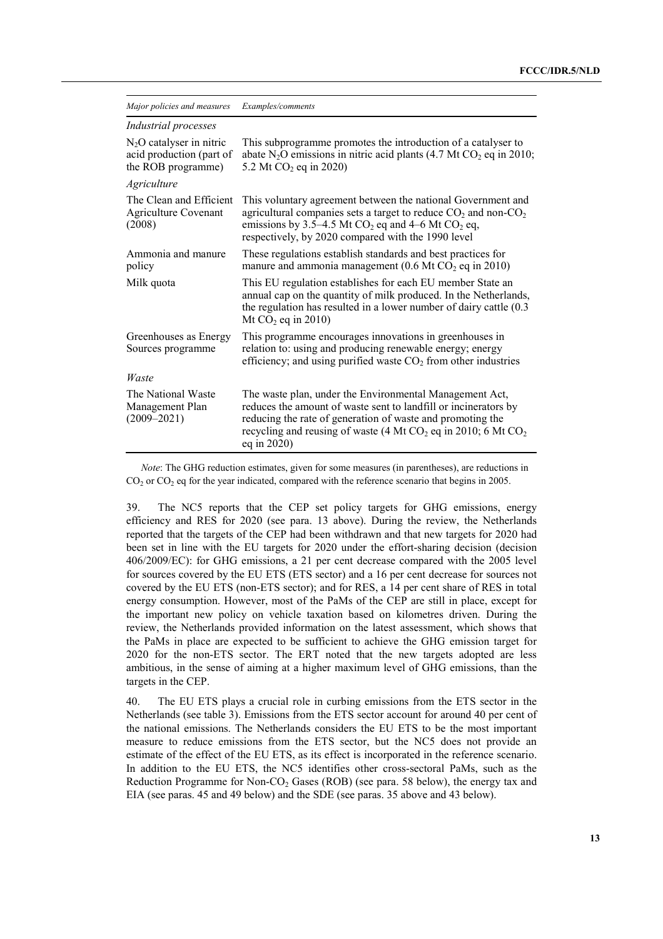| Major policies and measures                                                  | Examples/comments                                                                                                                                                                                                                                                            |
|------------------------------------------------------------------------------|------------------------------------------------------------------------------------------------------------------------------------------------------------------------------------------------------------------------------------------------------------------------------|
| Industrial processes                                                         |                                                                                                                                                                                                                                                                              |
| $N_2O$ catalyser in nitric<br>acid production (part of<br>the ROB programme) | This subprogramme promotes the introduction of a catalyser to<br>abate N <sub>2</sub> O emissions in nitric acid plants (4.7 Mt CO <sub>2</sub> eq in 2010;<br>5.2 Mt $CO2$ eq in 2020)                                                                                      |
| <b>Agriculture</b>                                                           |                                                                                                                                                                                                                                                                              |
| The Clean and Efficient<br><b>Agriculture Covenant</b><br>(2008)             | This voluntary agreement between the national Government and<br>agricultural companies sets a target to reduce $CO2$ and non- $CO2$<br>emissions by 3.5–4.5 Mt $CO2$ eq and 4–6 Mt $CO2$ eq,<br>respectively, by 2020 compared with the 1990 level                           |
| Ammonia and manure<br>policy                                                 | These regulations establish standards and best practices for<br>manure and ammonia management ( $0.6$ Mt CO <sub>2</sub> eq in 2010)                                                                                                                                         |
| Milk quota                                                                   | This EU regulation establishes for each EU member State an<br>annual cap on the quantity of milk produced. In the Netherlands,<br>the regulation has resulted in a lower number of dairy cattle (0.3)<br>Mt $CO2$ eq in 2010)                                                |
| Greenhouses as Energy<br>Sources programme                                   | This programme encourages innovations in greenhouses in<br>relation to: using and producing renewable energy; energy<br>efficiency; and using purified waste $CO2$ from other industries                                                                                     |
| Waste                                                                        |                                                                                                                                                                                                                                                                              |
| The National Waste<br>Management Plan<br>$(2009 - 2021)$                     | The waste plan, under the Environmental Management Act,<br>reduces the amount of waste sent to landfill or incinerators by<br>reducing the rate of generation of waste and promoting the<br>recycling and reusing of waste (4 Mt $CO2$ eq in 2010; 6 Mt $CO2$<br>eq in 2020) |

*Note*: The GHG reduction estimates, given for some measures (in parentheses), are reductions in  $CO<sub>2</sub>$  or  $CO<sub>2</sub>$  eq for the year indicated, compared with the reference scenario that begins in 2005.

39. The NC5 reports that the CEP set policy targets for GHG emissions, energy efficiency and RES for 2020 (see para. 13 above). During the review, the Netherlands reported that the targets of the CEP had been withdrawn and that new targets for 2020 had been set in line with the EU targets for 2020 under the effort-sharing decision (decision 406/2009/EC): for GHG emissions, a 21 per cent decrease compared with the 2005 level for sources covered by the EU ETS (ETS sector) and a 16 per cent decrease for sources not covered by the EU ETS (non-ETS sector); and for RES, a 14 per cent share of RES in total energy consumption. However, most of the PaMs of the CEP are still in place, except for the important new policy on vehicle taxation based on kilometres driven. During the review, the Netherlands provided information on the latest assessment, which shows that the PaMs in place are expected to be sufficient to achieve the GHG emission target for 2020 for the non-ETS sector. The ERT noted that the new targets adopted are less ambitious, in the sense of aiming at a higher maximum level of GHG emissions, than the targets in the CEP.

40. The EU ETS plays a crucial role in curbing emissions from the ETS sector in the Netherlands (see table 3). Emissions from the ETS sector account for around 40 per cent of the national emissions. The Netherlands considers the EU ETS to be the most important measure to reduce emissions from the ETS sector, but the NC5 does not provide an estimate of the effect of the EU ETS, as its effect is incorporated in the reference scenario. In addition to the EU ETS, the NC5 identifies other cross-sectoral PaMs, such as the Reduction Programme for Non-CO<sub>2</sub> Gases (ROB) (see para. 58 below), the energy tax and EIA (see paras. 45 and 49 below) and the SDE (see paras. 35 above and 43 below).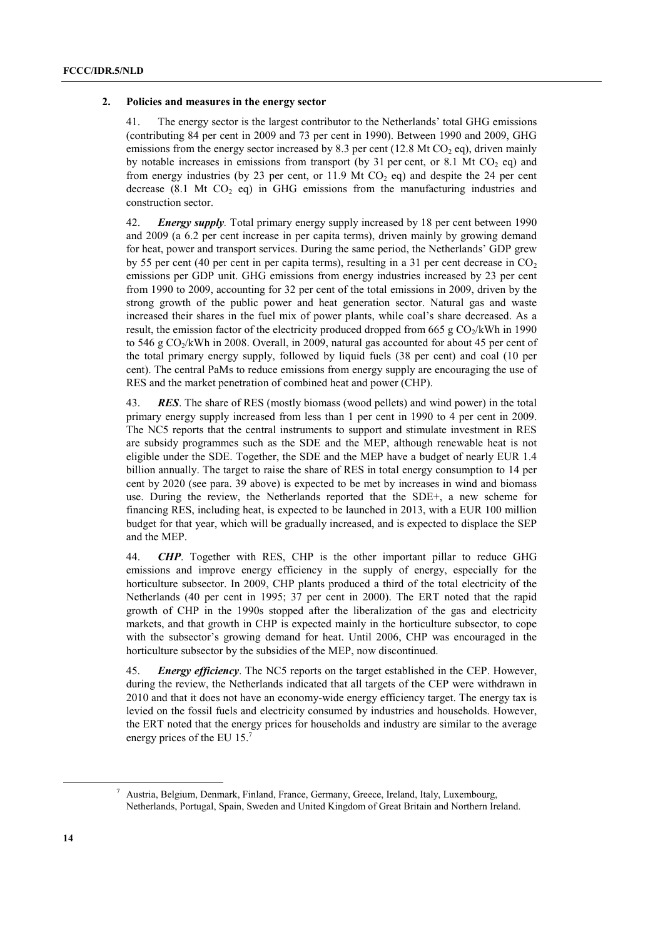#### **2. Policies and measures in the energy sector**

41. The energy sector is the largest contributor to the Netherlands' total GHG emissions (contributing 84 per cent in 2009 and 73 per cent in 1990). Between 1990 and 2009, GHG emissions from the energy sector increased by 8.3 per cent (12.8 Mt CO<sub>2</sub> eq), driven mainly by notable increases in emissions from transport (by 31 per cent, or 8.1 Mt  $CO<sub>2</sub>$  eq) and from energy industries (by 23 per cent, or 11.9 Mt  $CO<sub>2</sub>$  eq) and despite the 24 per cent decrease  $(8.1 \text{ Mt } CO_2 \text{ eq})$  in GHG emissions from the manufacturing industries and construction sector.

42. *Energy supply.* Total primary energy supply increased by 18 per cent between 1990 and 2009 (a 6.2 per cent increase in per capita terms), driven mainly by growing demand for heat, power and transport services. During the same period, the Netherlands' GDP grew by 55 per cent (40 per cent in per capita terms), resulting in a 31 per cent decrease in  $CO<sub>2</sub>$ emissions per GDP unit. GHG emissions from energy industries increased by 23 per cent from 1990 to 2009, accounting for 32 per cent of the total emissions in 2009, driven by the strong growth of the public power and heat generation sector. Natural gas and waste increased their shares in the fuel mix of power plants, while coal's share decreased. As a result, the emission factor of the electricity produced dropped from 665 g  $CO_2/kWh$  in 1990 to 546 g  $CO<sub>2</sub>/kWh$  in 2008. Overall, in 2009, natural gas accounted for about 45 per cent of the total primary energy supply, followed by liquid fuels (38 per cent) and coal (10 per cent). The central PaMs to reduce emissions from energy supply are encouraging the use of RES and the market penetration of combined heat and power (CHP).

43. *RES*. The share of RES (mostly biomass (wood pellets) and wind power) in the total primary energy supply increased from less than 1 per cent in 1990 to 4 per cent in 2009. The NC5 reports that the central instruments to support and stimulate investment in RES are subsidy programmes such as the SDE and the MEP, although renewable heat is not eligible under the SDE. Together, the SDE and the MEP have a budget of nearly EUR 1.4 billion annually. The target to raise the share of RES in total energy consumption to 14 per cent by 2020 (see para. 39 above) is expected to be met by increases in wind and biomass use. During the review, the Netherlands reported that the SDE+, a new scheme for financing RES, including heat, is expected to be launched in 2013, with a EUR 100 million budget for that year, which will be gradually increased, and is expected to displace the SEP and the MEP.

44. *CHP*. Together with RES, CHP is the other important pillar to reduce GHG emissions and improve energy efficiency in the supply of energy, especially for the horticulture subsector. In 2009, CHP plants produced a third of the total electricity of the Netherlands (40 per cent in 1995; 37 per cent in 2000). The ERT noted that the rapid growth of CHP in the 1990s stopped after the liberalization of the gas and electricity markets, and that growth in CHP is expected mainly in the horticulture subsector, to cope with the subsector's growing demand for heat. Until 2006, CHP was encouraged in the horticulture subsector by the subsidies of the MEP, now discontinued.

45. *Energy efficiency*. The NC5 reports on the target established in the CEP. However, during the review, the Netherlands indicated that all targets of the CEP were withdrawn in 2010 and that it does not have an economy-wide energy efficiency target. The energy tax is levied on the fossil fuels and electricity consumed by industries and households. However, the ERT noted that the energy prices for households and industry are similar to the average energy prices of the EU 15.<sup>7</sup>

 <sup>7</sup> <sup>7</sup> Austria, Belgium, Denmark, Finland, France, Germany, Greece, Ireland, Italy, Luxembourg, Netherlands, Portugal, Spain, Sweden and United Kingdom of Great Britain and Northern Ireland.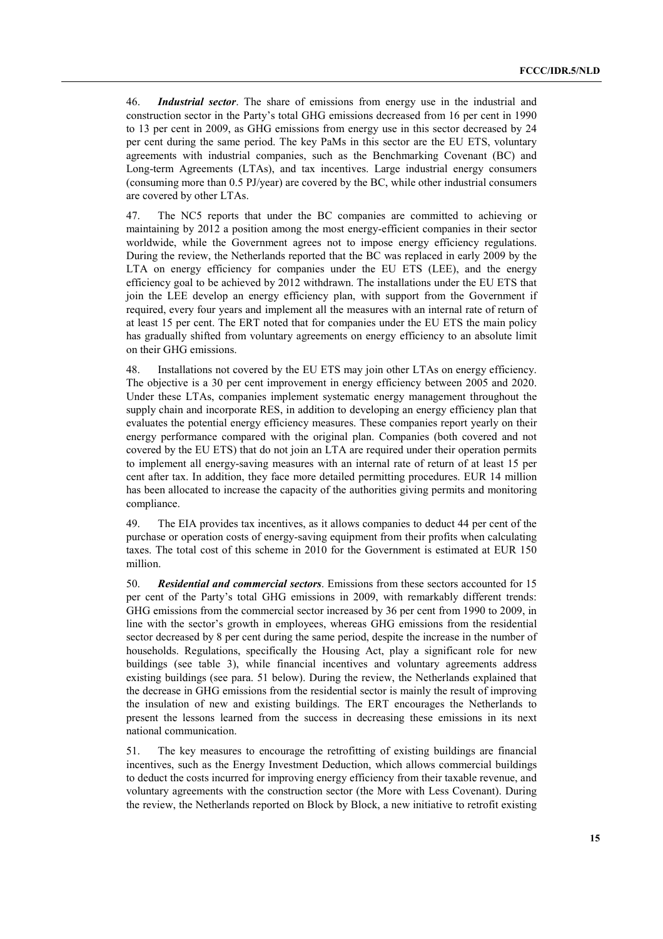46. *Industrial sector*. The share of emissions from energy use in the industrial and construction sector in the Partyís total GHG emissions decreased from 16 per cent in 1990 to 13 per cent in 2009, as GHG emissions from energy use in this sector decreased by 24 per cent during the same period. The key PaMs in this sector are the EU ETS, voluntary agreements with industrial companies, such as the Benchmarking Covenant (BC) and Long-term Agreements (LTAs), and tax incentives. Large industrial energy consumers (consuming more than 0.5 PJ/year) are covered by the BC, while other industrial consumers are covered by other LTAs.

47. The NC5 reports that under the BC companies are committed to achieving or maintaining by 2012 a position among the most energy-efficient companies in their sector worldwide, while the Government agrees not to impose energy efficiency regulations. During the review, the Netherlands reported that the BC was replaced in early 2009 by the LTA on energy efficiency for companies under the EU ETS (LEE), and the energy efficiency goal to be achieved by 2012 withdrawn. The installations under the EU ETS that join the LEE develop an energy efficiency plan, with support from the Government if required, every four years and implement all the measures with an internal rate of return of at least 15 per cent. The ERT noted that for companies under the EU ETS the main policy has gradually shifted from voluntary agreements on energy efficiency to an absolute limit on their GHG emissions.

48. Installations not covered by the EU ETS may join other LTAs on energy efficiency. The objective is a 30 per cent improvement in energy efficiency between 2005 and 2020. Under these LTAs, companies implement systematic energy management throughout the supply chain and incorporate RES, in addition to developing an energy efficiency plan that evaluates the potential energy efficiency measures. These companies report yearly on their energy performance compared with the original plan. Companies (both covered and not covered by the EU ETS) that do not join an LTA are required under their operation permits to implement all energy-saving measures with an internal rate of return of at least 15 per cent after tax. In addition, they face more detailed permitting procedures. EUR 14 million has been allocated to increase the capacity of the authorities giving permits and monitoring compliance.

49. The EIA provides tax incentives, as it allows companies to deduct 44 per cent of the purchase or operation costs of energy-saving equipment from their profits when calculating taxes. The total cost of this scheme in 2010 for the Government is estimated at EUR 150 million.

50. *Residential and commercial sectors*. Emissions from these sectors accounted for 15 per cent of the Partyís total GHG emissions in 2009, with remarkably different trends: GHG emissions from the commercial sector increased by 36 per cent from 1990 to 2009, in line with the sector's growth in employees, whereas GHG emissions from the residential sector decreased by 8 per cent during the same period, despite the increase in the number of households. Regulations, specifically the Housing Act, play a significant role for new buildings (see table 3), while financial incentives and voluntary agreements address existing buildings (see para. 51 below). During the review, the Netherlands explained that the decrease in GHG emissions from the residential sector is mainly the result of improving the insulation of new and existing buildings. The ERT encourages the Netherlands to present the lessons learned from the success in decreasing these emissions in its next national communication.

51. The key measures to encourage the retrofitting of existing buildings are financial incentives, such as the Energy Investment Deduction, which allows commercial buildings to deduct the costs incurred for improving energy efficiency from their taxable revenue, and voluntary agreements with the construction sector (the More with Less Covenant). During the review, the Netherlands reported on Block by Block, a new initiative to retrofit existing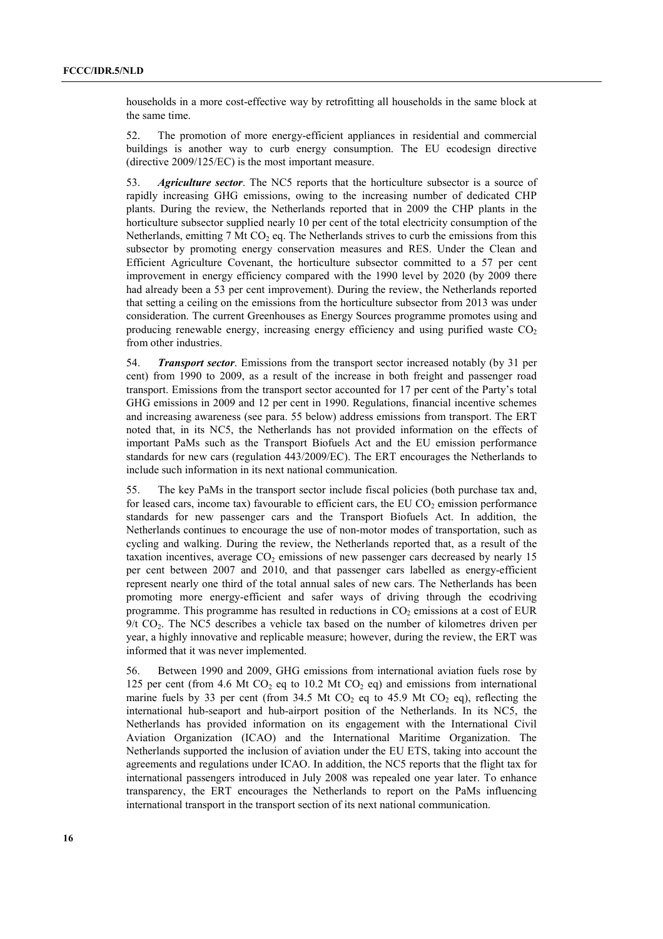households in a more cost-effective way by retrofitting all households in the same block at the same time.

52. The promotion of more energy-efficient appliances in residential and commercial buildings is another way to curb energy consumption. The EU ecodesign directive (directive 2009/125/EC) is the most important measure.

53. *Agriculture sector*. The NC5 reports that the horticulture subsector is a source of rapidly increasing GHG emissions, owing to the increasing number of dedicated CHP plants. During the review, the Netherlands reported that in 2009 the CHP plants in the horticulture subsector supplied nearly 10 per cent of the total electricity consumption of the Netherlands, emitting 7 Mt  $CO<sub>2</sub>$  eq. The Netherlands strives to curb the emissions from this subsector by promoting energy conservation measures and RES. Under the Clean and Efficient Agriculture Covenant, the horticulture subsector committed to a 57 per cent improvement in energy efficiency compared with the 1990 level by 2020 (by 2009 there had already been a 53 per cent improvement). During the review, the Netherlands reported that setting a ceiling on the emissions from the horticulture subsector from 2013 was under consideration. The current Greenhouses as Energy Sources programme promotes using and producing renewable energy, increasing energy efficiency and using purified waste  $CO<sub>2</sub>$ from other industries.

54. *Transport sector*. Emissions from the transport sector increased notably (by 31 per cent) from 1990 to 2009, as a result of the increase in both freight and passenger road transport. Emissions from the transport sector accounted for 17 per cent of the Party's total GHG emissions in 2009 and 12 per cent in 1990. Regulations, financial incentive schemes and increasing awareness (see para. 55 below) address emissions from transport. The ERT noted that, in its NC5, the Netherlands has not provided information on the effects of important PaMs such as the Transport Biofuels Act and the EU emission performance standards for new cars (regulation 443/2009/EC). The ERT encourages the Netherlands to include such information in its next national communication.

55. The key PaMs in the transport sector include fiscal policies (both purchase tax and, for leased cars, income tax) favourable to efficient cars, the EU  $CO<sub>2</sub>$  emission performance standards for new passenger cars and the Transport Biofuels Act. In addition, the Netherlands continues to encourage the use of non-motor modes of transportation, such as cycling and walking. During the review, the Netherlands reported that, as a result of the taxation incentives, average  $CO<sub>2</sub>$  emissions of new passenger cars decreased by nearly 15 per cent between 2007 and 2010, and that passenger cars labelled as energy-efficient represent nearly one third of the total annual sales of new cars. The Netherlands has been promoting more energy-efficient and safer ways of driving through the ecodriving programme. This programme has resulted in reductions in  $CO<sub>2</sub>$  emissions at a cost of EUR  $9/t$  CO<sub>2</sub>. The NC5 describes a vehicle tax based on the number of kilometres driven per year, a highly innovative and replicable measure; however, during the review, the ERT was informed that it was never implemented.

56. Between 1990 and 2009, GHG emissions from international aviation fuels rose by 125 per cent (from 4.6 Mt  $CO<sub>2</sub>$  eq to 10.2 Mt  $CO<sub>2</sub>$  eq) and emissions from international marine fuels by 33 per cent (from 34.5 Mt  $CO<sub>2</sub>$  eq to 45.9 Mt  $CO<sub>2</sub>$  eq), reflecting the international hub-seaport and hub-airport position of the Netherlands. In its NC5, the Netherlands has provided information on its engagement with the International Civil Aviation Organization (ICAO) and the International Maritime Organization. The Netherlands supported the inclusion of aviation under the EU ETS, taking into account the agreements and regulations under ICAO. In addition, the NC5 reports that the flight tax for international passengers introduced in July 2008 was repealed one year later. To enhance transparency, the ERT encourages the Netherlands to report on the PaMs influencing international transport in the transport section of its next national communication.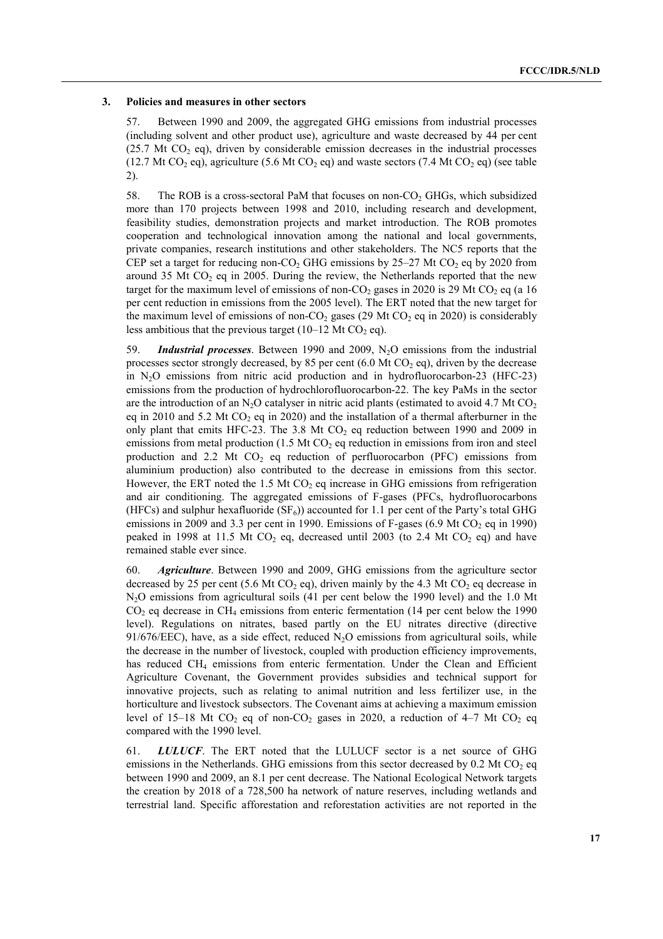#### **3. Policies and measures in other sectors**

57. Between 1990 and 2009, the aggregated GHG emissions from industrial processes (including solvent and other product use), agriculture and waste decreased by 44 per cent  $(25.7 \text{ Mt CO}_2 \text{ eq})$ , driven by considerable emission decreases in the industrial processes (12.7 Mt CO<sub>2</sub> eq), agriculture (5.6 Mt CO<sub>2</sub> eq) and waste sectors (7.4 Mt CO<sub>2</sub> eq) (see table 2).

58. The ROB is a cross-sectoral PaM that focuses on non-CO<sub>2</sub> GHGs, which subsidized more than 170 projects between 1998 and 2010, including research and development, feasibility studies, demonstration projects and market introduction. The ROB promotes cooperation and technological innovation among the national and local governments, private companies, research institutions and other stakeholders. The NC5 reports that the CEP set a target for reducing non-CO<sub>2</sub> GHG emissions by  $25-27$  Mt CO<sub>2</sub> eq by 2020 from around 35 Mt  $CO<sub>2</sub>$  eq in 2005. During the review, the Netherlands reported that the new target for the maximum level of emissions of non-CO<sub>2</sub> gases in 2020 is 29 Mt CO<sub>2</sub> eq (a 16) per cent reduction in emissions from the 2005 level). The ERT noted that the new target for the maximum level of emissions of non-CO<sub>2</sub> gases (29 Mt CO<sub>2</sub> eq in 2020) is considerably less ambitious that the previous target (10–12 Mt CO<sub>2</sub> eq).

59. *Industrial processes*. Between 1990 and 2009, N2O emissions from the industrial processes sector strongly decreased, by 85 per cent  $(6.0 \text{ Mt CO}_2 \text{ eq})$ , driven by the decrease in  $N<sub>2</sub>O$  emissions from nitric acid production and in hydrofluorocarbon-23 (HFC-23) emissions from the production of hydrochlorofluorocarbon-22. The key PaMs in the sector are the introduction of an N<sub>2</sub>O catalyser in nitric acid plants (estimated to avoid 4.7 Mt CO<sub>2</sub> eq in 2010 and 5.2 Mt  $CO<sub>2</sub>$  eq in 2020) and the installation of a thermal afterburner in the only plant that emits HFC-23. The 3.8 Mt  $CO<sub>2</sub>$  eq reduction between 1990 and 2009 in emissions from metal production  $(1.5 \text{ Mt CO}_2)$  eq reduction in emissions from iron and steel production and 2.2 Mt  $CO<sub>2</sub>$  eq reduction of perfluorocarbon (PFC) emissions from aluminium production) also contributed to the decrease in emissions from this sector. However, the ERT noted the 1.5 Mt  $CO<sub>2</sub>$  eq increase in GHG emissions from refrigeration and air conditioning. The aggregated emissions of F-gases (PFCs, hydrofluorocarbons (HFCs) and sulphur hexafluoride  $(SF_6)$ ) accounted for 1.1 per cent of the Party's total GHG emissions in 2009 and 3.3 per cent in 1990. Emissions of F-gases (6.9 Mt  $CO<sub>2</sub>$  eq in 1990) peaked in 1998 at 11.5 Mt  $CO<sub>2</sub>$  eq, decreased until 2003 (to 2.4 Mt  $CO<sub>2</sub>$  eq) and have remained stable ever since.

60. *Agriculture*. Between 1990 and 2009, GHG emissions from the agriculture sector decreased by 25 per cent (5.6 Mt CO<sub>2</sub> eq), driven mainly by the 4.3 Mt CO<sub>2</sub> eq decrease in N2O emissions from agricultural soils (41 per cent below the 1990 level) and the 1.0 Mt  $CO<sub>2</sub>$  eq decrease in CH<sub>4</sub> emissions from enteric fermentation (14 per cent below the 1990) level). Regulations on nitrates, based partly on the EU nitrates directive (directive 91/676/EEC), have, as a side effect, reduced  $N_2O$  emissions from agricultural soils, while the decrease in the number of livestock, coupled with production efficiency improvements, has reduced CH<sub>4</sub> emissions from enteric fermentation. Under the Clean and Efficient Agriculture Covenant, the Government provides subsidies and technical support for innovative projects, such as relating to animal nutrition and less fertilizer use, in the horticulture and livestock subsectors. The Covenant aims at achieving a maximum emission level of 15–18 Mt CO<sub>2</sub> eq of non-CO<sub>2</sub> gases in 2020, a reduction of 4–7 Mt CO<sub>2</sub> eq compared with the 1990 level.

61. *LULUCF*. The ERT noted that the LULUCF sector is a net source of GHG emissions in the Netherlands. GHG emissions from this sector decreased by  $0.2 \text{ Mt CO}_2$  eq between 1990 and 2009, an 8.1 per cent decrease. The National Ecological Network targets the creation by 2018 of a 728,500 ha network of nature reserves, including wetlands and terrestrial land. Specific afforestation and reforestation activities are not reported in the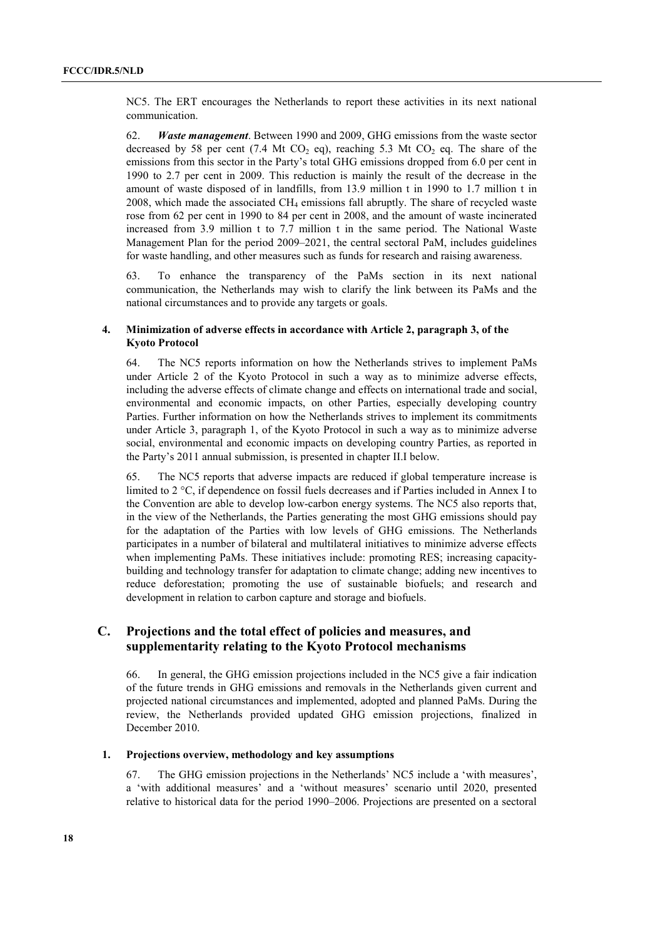NC5. The ERT encourages the Netherlands to report these activities in its next national communication.

62. *Waste management*. Between 1990 and 2009, GHG emissions from the waste sector decreased by 58 per cent (7.4 Mt CO<sub>2</sub> eq), reaching 5.3 Mt CO<sub>2</sub> eq. The share of the emissions from this sector in the Party's total GHG emissions dropped from 6.0 per cent in 1990 to 2.7 per cent in 2009. This reduction is mainly the result of the decrease in the amount of waste disposed of in landfills, from 13.9 million t in 1990 to 1.7 million t in 2008, which made the associated  $CH<sub>4</sub>$  emissions fall abruptly. The share of recycled waste rose from 62 per cent in 1990 to 84 per cent in 2008, and the amount of waste incinerated increased from 3.9 million t to 7.7 million t in the same period. The National Waste Management Plan for the period 2009–2021, the central sectoral PaM, includes guidelines for waste handling, and other measures such as funds for research and raising awareness.

63. To enhance the transparency of the PaMs section in its next national communication, the Netherlands may wish to clarify the link between its PaMs and the national circumstances and to provide any targets or goals.

#### **4. Minimization of adverse effects in accordance with Article 2, paragraph 3, of the Kyoto Protocol**

64. The NC5 reports information on how the Netherlands strives to implement PaMs under Article 2 of the Kyoto Protocol in such a way as to minimize adverse effects, including the adverse effects of climate change and effects on international trade and social, environmental and economic impacts, on other Parties, especially developing country Parties. Further information on how the Netherlands strives to implement its commitments under Article 3, paragraph 1, of the Kyoto Protocol in such a way as to minimize adverse social, environmental and economic impacts on developing country Parties, as reported in the Party's 2011 annual submission, is presented in chapter II.I below.

65. The NC5 reports that adverse impacts are reduced if global temperature increase is limited to 2 °C, if dependence on fossil fuels decreases and if Parties included in Annex I to the Convention are able to develop low-carbon energy systems. The NC5 also reports that, in the view of the Netherlands, the Parties generating the most GHG emissions should pay for the adaptation of the Parties with low levels of GHG emissions. The Netherlands participates in a number of bilateral and multilateral initiatives to minimize adverse effects when implementing PaMs. These initiatives include: promoting RES; increasing capacitybuilding and technology transfer for adaptation to climate change; adding new incentives to reduce deforestation; promoting the use of sustainable biofuels; and research and development in relation to carbon capture and storage and biofuels.

## **C. Projections and the total effect of policies and measures, and supplementarity relating to the Kyoto Protocol mechanisms**

66. In general, the GHG emission projections included in the NC5 give a fair indication of the future trends in GHG emissions and removals in the Netherlands given current and projected national circumstances and implemented, adopted and planned PaMs. During the review, the Netherlands provided updated GHG emission projections, finalized in December 2010.

#### **1. Projections overview, methodology and key assumptions**

67. The GHG emission projections in the Netherlands' NC5 include a 'with measures', a 'with additional measures' and a 'without measures' scenario until 2020, presented relative to historical data for the period 1990–2006. Projections are presented on a sectoral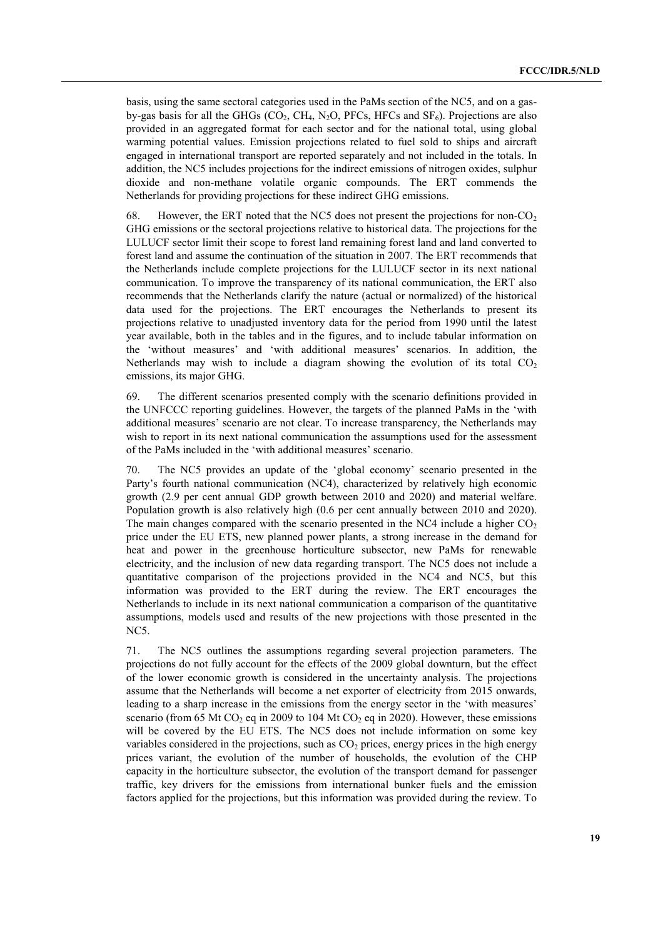basis, using the same sectoral categories used in the PaMs section of the NC5, and on a gasby-gas basis for all the GHGs  $(CO_2, CH_4, N_2O, PFCs, HFCs$  and  $SF_6$ ). Projections are also provided in an aggregated format for each sector and for the national total, using global warming potential values. Emission projections related to fuel sold to ships and aircraft engaged in international transport are reported separately and not included in the totals. In addition, the NC5 includes projections for the indirect emissions of nitrogen oxides, sulphur dioxide and non-methane volatile organic compounds. The ERT commends the Netherlands for providing projections for these indirect GHG emissions.

68. However, the ERT noted that the NC5 does not present the projections for non- $CO<sub>2</sub>$ GHG emissions or the sectoral projections relative to historical data. The projections for the LULUCF sector limit their scope to forest land remaining forest land and land converted to forest land and assume the continuation of the situation in 2007. The ERT recommends that the Netherlands include complete projections for the LULUCF sector in its next national communication. To improve the transparency of its national communication, the ERT also recommends that the Netherlands clarify the nature (actual or normalized) of the historical data used for the projections. The ERT encourages the Netherlands to present its projections relative to unadjusted inventory data for the period from 1990 until the latest year available, both in the tables and in the figures, and to include tabular information on the 'without measures' and 'with additional measures' scenarios. In addition, the Netherlands may wish to include a diagram showing the evolution of its total  $CO<sub>2</sub>$ emissions, its major GHG.

69. The different scenarios presented comply with the scenario definitions provided in the UNFCCC reporting guidelines. However, the targets of the planned PaMs in the ëwith additional measures' scenario are not clear. To increase transparency, the Netherlands may wish to report in its next national communication the assumptions used for the assessment of the PaMs included in the 'with additional measures' scenario.

70. The NC5 provides an update of the ëglobal economyí scenario presented in the Party's fourth national communication (NC4), characterized by relatively high economic growth (2.9 per cent annual GDP growth between 2010 and 2020) and material welfare. Population growth is also relatively high (0.6 per cent annually between 2010 and 2020). The main changes compared with the scenario presented in the NC4 include a higher  $CO<sub>2</sub>$ price under the EU ETS, new planned power plants, a strong increase in the demand for heat and power in the greenhouse horticulture subsector, new PaMs for renewable electricity, and the inclusion of new data regarding transport. The NC5 does not include a quantitative comparison of the projections provided in the NC4 and NC5, but this information was provided to the ERT during the review. The ERT encourages the Netherlands to include in its next national communication a comparison of the quantitative assumptions, models used and results of the new projections with those presented in the NC5.

71. The NC5 outlines the assumptions regarding several projection parameters. The projections do not fully account for the effects of the 2009 global downturn, but the effect of the lower economic growth is considered in the uncertainty analysis. The projections assume that the Netherlands will become a net exporter of electricity from 2015 onwards, leading to a sharp increase in the emissions from the energy sector in the 'with measures' scenario (from 65 Mt CO<sub>2</sub> eq in 2009 to 104 Mt CO<sub>2</sub> eq in 2020). However, these emissions will be covered by the EU ETS. The NC5 does not include information on some key variables considered in the projections, such as  $CO<sub>2</sub>$  prices, energy prices in the high energy prices variant, the evolution of the number of households, the evolution of the CHP capacity in the horticulture subsector, the evolution of the transport demand for passenger traffic, key drivers for the emissions from international bunker fuels and the emission factors applied for the projections, but this information was provided during the review. To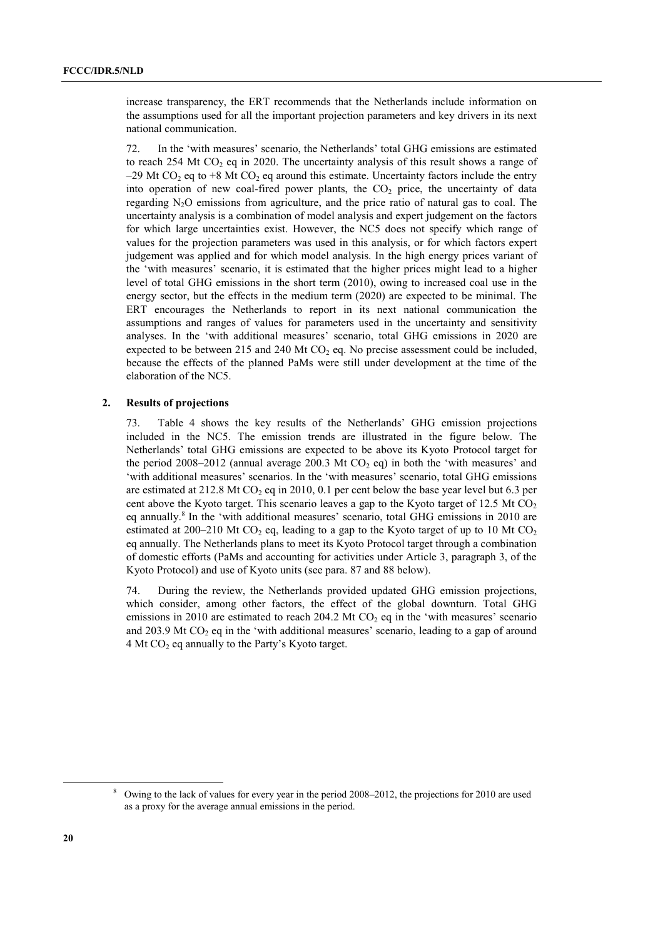increase transparency, the ERT recommends that the Netherlands include information on the assumptions used for all the important projection parameters and key drivers in its next national communication.

72. In the 'with measures' scenario, the Netherlands' total GHG emissions are estimated to reach 254 Mt  $CO<sub>2</sub>$  eq in 2020. The uncertainty analysis of this result shows a range of  $-29$  Mt CO<sub>2</sub> eq to  $+8$  Mt CO<sub>2</sub> eq around this estimate. Uncertainty factors include the entry into operation of new coal-fired power plants, the  $CO<sub>2</sub>$  price, the uncertainty of data regarding N2O emissions from agriculture, and the price ratio of natural gas to coal. The uncertainty analysis is a combination of model analysis and expert judgement on the factors for which large uncertainties exist. However, the NC5 does not specify which range of values for the projection parameters was used in this analysis, or for which factors expert judgement was applied and for which model analysis. In the high energy prices variant of the ëwith measuresí scenario, it is estimated that the higher prices might lead to a higher level of total GHG emissions in the short term (2010), owing to increased coal use in the energy sector, but the effects in the medium term (2020) are expected to be minimal. The ERT encourages the Netherlands to report in its next national communication the assumptions and ranges of values for parameters used in the uncertainty and sensitivity analyses. In the 'with additional measures' scenario, total GHG emissions in 2020 are expected to be between 215 and 240 Mt  $CO<sub>2</sub>$  eq. No precise assessment could be included. because the effects of the planned PaMs were still under development at the time of the elaboration of the NC5.

#### **2. Results of projections**

73. Table 4 shows the key results of the Netherlandsí GHG emission projections included in the NC5. The emission trends are illustrated in the figure below. The Netherlands' total GHG emissions are expected to be above its Kyoto Protocol target for the period 2008–2012 (annual average 200.3 Mt CO<sub>2</sub> eq) in both the 'with measures' and ëwith additional measuresí scenarios. In the ëwith measuresí scenario, total GHG emissions are estimated at  $212.8$  Mt CO<sub>2</sub> eq in 2010, 0.1 per cent below the base year level but 6.3 per cent above the Kyoto target. This scenario leaves a gap to the Kyoto target of  $12.5$  Mt CO<sub>2</sub> eq annually.<sup>8</sup> In the 'with additional measures' scenario, total GHG emissions in 2010 are estimated at 200–210 Mt CO<sub>2</sub> eq, leading to a gap to the Kyoto target of up to 10 Mt CO<sub>2</sub> eq annually. The Netherlands plans to meet its Kyoto Protocol target through a combination of domestic efforts (PaMs and accounting for activities under Article 3, paragraph 3, of the Kyoto Protocol) and use of Kyoto units (see para. 87 and 88 below).

74. During the review, the Netherlands provided updated GHG emission projections, which consider, among other factors, the effect of the global downturn. Total GHG emissions in 2010 are estimated to reach 204.2 Mt  $CO<sub>2</sub>$  eq in the 'with measures' scenario and 203.9 Mt  $CO<sub>2</sub>$  eq in the 'with additional measures' scenario, leading to a gap of around 4 Mt  $CO<sub>2</sub>$  eq annually to the Party's Kyoto target.

 $\frac{8}{3}$  $\delta$  Owing to the lack of values for every year in the period 2008–2012, the projections for 2010 are used as a proxy for the average annual emissions in the period.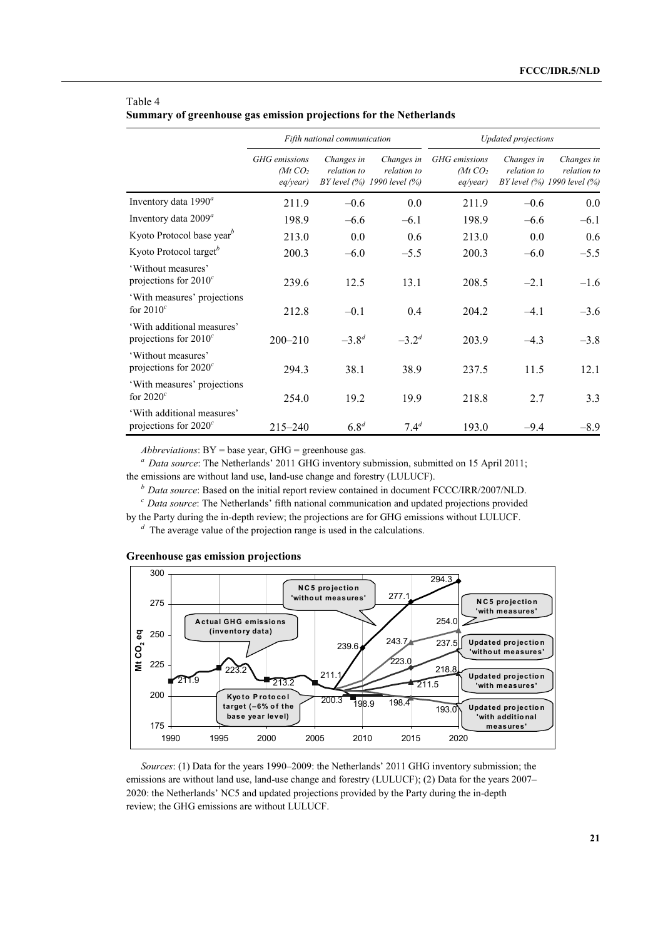|                                                        |                                      | Fifth national communication |                                                          | Updated projections                  |                           |                                                          |  |
|--------------------------------------------------------|--------------------------------------|------------------------------|----------------------------------------------------------|--------------------------------------|---------------------------|----------------------------------------------------------|--|
|                                                        | GHG emissions<br>(Mt CO,<br>eq/year) | Changes in<br>relation to    | Changes in<br>relation to<br>BY level (%) 1990 level (%) | GHG emissions<br>(Mt CO,<br>eq/year) | Changes in<br>relation to | Changes in<br>relation to<br>BY level (%) 1990 level (%) |  |
| Inventory data $1990^a$                                | 211.9                                | $-0.6$                       | 0.0                                                      | 211.9                                | $-0.6$                    | $0.0\,$                                                  |  |
| Inventory data $2009^a$                                | 198.9                                | $-6.6$                       | $-6.1$                                                   | 198.9                                | $-6.6$                    | $-6.1$                                                   |  |
| Kyoto Protocol base year <sup>b</sup>                  | 213.0                                | 0.0                          | 0.6                                                      | 213.0                                | 0.0                       | 0.6                                                      |  |
| Kyoto Protocol target <sup>b</sup>                     | 200.3                                | $-6.0$                       | $-5.5$                                                   | 200.3                                | $-6.0$                    | $-5.5$                                                   |  |
| 'Without measures'<br>projections for $2010^c$         | 239.6                                | 12.5                         | 13.1                                                     | 208.5                                | $-2.1$                    | $-1.6$                                                   |  |
| 'With measures' projections<br>for $2010^c$            | 212.8                                | $-0.1$                       | 0.4                                                      | 204.2                                | $-4.1$                    | $-3.6$                                                   |  |
| 'With additional measures'<br>projections for $2010^c$ | $200 - 210$                          | $-3.8^{d}$                   | $-3.2^{d}$                                               | 203.9                                | $-4.3$                    | $-3.8$                                                   |  |
| 'Without measures'<br>projections for $2020^c$         | 294.3                                | 38.1                         | 38.9                                                     | 237.5                                | 11.5                      | 12.1                                                     |  |
| 'With measures' projections<br>for $2020^c$            | 254.0                                | 19.2                         | 19.9                                                     | 218.8                                | 2.7                       | 3.3                                                      |  |
| 'With additional measures'<br>projections for $2020^c$ | 215-240                              | $6.8^{d}$                    | $7.4^{d}$                                                | 193.0                                | $-9.4$                    | $-8.9$                                                   |  |

#### Table 4 **Summary of greenhouse gas emission projections for the Netherlands**

*Abbreviations*: BY = base year, GHG = greenhouse gas.

<sup>a</sup> Data source: The Netherlands' 2011 GHG inventory submission, submitted on 15 April 2011;

the emissions are without land use, land-use change and forestry (LULUCF).

*b Data source*: Based on the initial report review contained in document FCCC/IRR/2007/NLD.

<sup>c</sup> Data source: The Netherlands' fifth national communication and updated projections provided

by the Party during the in-depth review; the projections are for GHG emissions without LULUCF.

 $\alpha$ <sup>d</sup> The average value of the projection range is used in the calculations.

#### **Greenhouse gas emission projections**



*Sources*: (1) Data for the years 1990–2009: the Netherlands<sup>2</sup> 2011 GHG inventory submission; the emissions are without land use, land-use change and forestry (LULUCF); (2) Data for the years  $2007 -$ 2020: the Netherlands' NC5 and updated projections provided by the Party during the in-depth review; the GHG emissions are without LULUCF.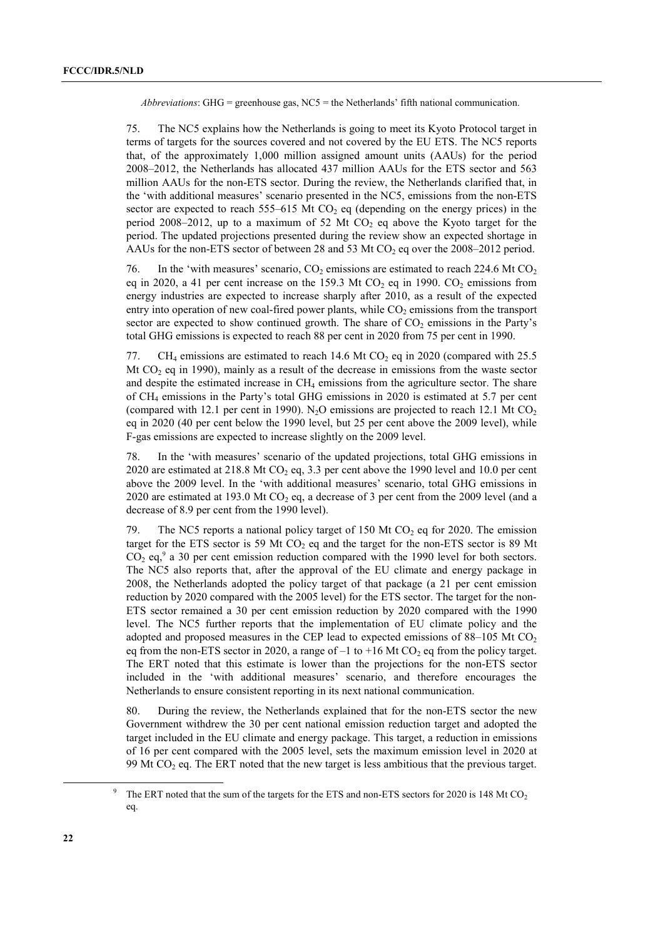*Abbreviations*: GHG = greenhouse gas,  $NC5$  = the Netherlands' fifth national communication.

75. The NC5 explains how the Netherlands is going to meet its Kyoto Protocol target in terms of targets for the sources covered and not covered by the EU ETS. The NC5 reports that, of the approximately 1,000 million assigned amount units (AAUs) for the period  $2008 - 2012$ , the Netherlands has allocated 437 million AAUs for the ETS sector and 563 million AAUs for the non-ETS sector. During the review, the Netherlands clarified that, in the 'with additional measures' scenario presented in the NC5, emissions from the non-ETS sector are expected to reach 555–615 Mt  $CO<sub>2</sub>$  eq (depending on the energy prices) in the period 2008–2012, up to a maximum of 52 Mt CO<sub>2</sub> eq above the Kyoto target for the period. The updated projections presented during the review show an expected shortage in AAUs for the non-ETS sector of between 28 and 53 Mt  $CO<sub>2</sub>$  eq over the 2008–2012 period.

76. In the 'with measures' scenario,  $CO<sub>2</sub>$  emissions are estimated to reach 224.6 Mt  $CO<sub>2</sub>$ eq in 2020, a 41 per cent increase on the 159.3 Mt  $CO<sub>2</sub>$  eq in 1990.  $CO<sub>2</sub>$  emissions from energy industries are expected to increase sharply after 2010, as a result of the expected entry into operation of new coal-fired power plants, while  $CO<sub>2</sub>$  emissions from the transport sector are expected to show continued growth. The share of  $CO<sub>2</sub>$  emissions in the Party's total GHG emissions is expected to reach 88 per cent in 2020 from 75 per cent in 1990.

77. CH<sub>4</sub> emissions are estimated to reach 14.6 Mt CO<sub>2</sub> eq in 2020 (compared with 25.5) Mt  $CO<sub>2</sub>$  eq in 1990), mainly as a result of the decrease in emissions from the waste sector and despite the estimated increase in CH<sub>4</sub> emissions from the agriculture sector. The share of CH4 emissions in the Partyís total GHG emissions in 2020 is estimated at 5.7 per cent (compared with 12.1 per cent in 1990). N<sub>2</sub>O emissions are projected to reach 12.1 Mt CO<sub>2</sub> eq in 2020 (40 per cent below the 1990 level, but 25 per cent above the 2009 level), while F-gas emissions are expected to increase slightly on the 2009 level.

78. In the 'with measures' scenario of the updated projections, total GHG emissions in 2020 are estimated at 218.8 Mt  $CO<sub>2</sub>$  eq, 3.3 per cent above the 1990 level and 10.0 per cent above the 2009 level. In the 'with additional measures' scenario, total GHG emissions in 2020 are estimated at 193.0 Mt CO<sub>2</sub> eq, a decrease of 3 per cent from the 2009 level (and a decrease of 8.9 per cent from the 1990 level).

79. The NC5 reports a national policy target of 150 Mt  $CO<sub>2</sub>$  eq for 2020. The emission target for the ETS sector is 59 Mt  $CO<sub>2</sub>$  eq and the target for the non-ETS sector is 89 Mt  $CO<sub>2</sub>$  eq,<sup>9</sup> a 30 per cent emission reduction compared with the 1990 level for both sectors. The NC5 also reports that, after the approval of the EU climate and energy package in 2008, the Netherlands adopted the policy target of that package (a 21 per cent emission reduction by 2020 compared with the 2005 level) for the ETS sector. The target for the non-ETS sector remained a 30 per cent emission reduction by 2020 compared with the 1990 level. The NC5 further reports that the implementation of EU climate policy and the adopted and proposed measures in the CEP lead to expected emissions of  $88-105$  Mt CO<sub>2</sub> eq from the non-ETS sector in 2020, a range of  $-1$  to +16 Mt CO<sub>2</sub> eq from the policy target. The ERT noted that this estimate is lower than the projections for the non-ETS sector included in the 'with additional measures' scenario, and therefore encourages the Netherlands to ensure consistent reporting in its next national communication.

80. During the review, the Netherlands explained that for the non-ETS sector the new Government withdrew the 30 per cent national emission reduction target and adopted the target included in the EU climate and energy package. This target, a reduction in emissions of 16 per cent compared with the 2005 level, sets the maximum emission level in 2020 at 99 Mt  $CO<sub>2</sub>$  eq. The ERT noted that the new target is less ambitious that the previous target.

 <sup>9</sup> The ERT noted that the sum of the targets for the ETS and non-ETS sectors for 2020 is 148 Mt  $CO<sub>2</sub>$ eq.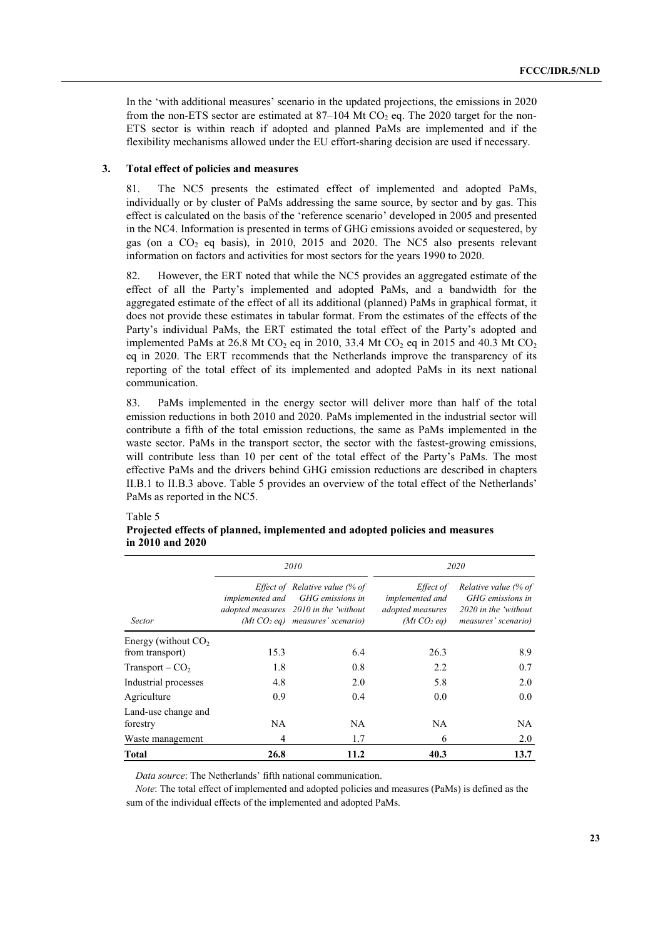In the 'with additional measures' scenario in the updated projections, the emissions in 2020 from the non-ETS sector are estimated at  $87-104$  Mt CO<sub>2</sub> eq. The 2020 target for the non-ETS sector is within reach if adopted and planned PaMs are implemented and if the flexibility mechanisms allowed under the EU effort-sharing decision are used if necessary.

#### **3. Total effect of policies and measures**

81. The NC5 presents the estimated effect of implemented and adopted PaMs, individually or by cluster of PaMs addressing the same source, by sector and by gas. This effect is calculated on the basis of the 'reference scenario' developed in 2005 and presented in the NC4. Information is presented in terms of GHG emissions avoided or sequestered, by gas (on a  $CO<sub>2</sub>$  eq basis), in 2010, 2015 and 2020. The NC5 also presents relevant information on factors and activities for most sectors for the years 1990 to 2020.

82. However, the ERT noted that while the NC5 provides an aggregated estimate of the effect of all the Partyís implemented and adopted PaMs, and a bandwidth for the aggregated estimate of the effect of all its additional (planned) PaMs in graphical format, it does not provide these estimates in tabular format. From the estimates of the effects of the Party's individual PaMs, the ERT estimated the total effect of the Party's adopted and implemented PaMs at 26.8 Mt CO<sub>2</sub> eq in 2010, 33.4 Mt CO<sub>2</sub> eq in 2015 and 40.3 Mt CO<sub>2</sub> eq in 2020. The ERT recommends that the Netherlands improve the transparency of its reporting of the total effect of its implemented and adopted PaMs in its next national communication.

83. PaMs implemented in the energy sector will deliver more than half of the total emission reductions in both 2010 and 2020. PaMs implemented in the industrial sector will contribute a fifth of the total emission reductions, the same as PaMs implemented in the waste sector. PaMs in the transport sector, the sector with the fastest-growing emissions, will contribute less than 10 per cent of the total effect of the Party's PaMs. The most effective PaMs and the drivers behind GHG emission reductions are described in chapters II.B.1 to II.B.3 above. Table 5 provides an overview of the total effect of the Netherlands<sup>3</sup> PaMs as reported in the NC5.

#### Table 5

|                                 |                        | 2010                                                                                                                             | 2020                                                                               |                                                                                            |  |  |
|---------------------------------|------------------------|----------------------------------------------------------------------------------------------------------------------------------|------------------------------------------------------------------------------------|--------------------------------------------------------------------------------------------|--|--|
| <b>Sector</b>                   | <i>implemented and</i> | Effect of Relative value (% of<br>GHG emissions in<br>adopted measures 2010 in the 'without<br>$(Mt CO2 eq)$ measures' scenario) | <i>Effect of</i><br>implemented and<br>adopted measures<br>(Mt CO <sub>2</sub> eq) | Relative value (% of<br>GHG emissions in<br>$2020$ in the 'without'<br>measures' scenario) |  |  |
| Energy (without $CO2$           |                        |                                                                                                                                  |                                                                                    |                                                                                            |  |  |
| from transport)                 | 15.3                   | 6.4                                                                                                                              | 26.3                                                                               | 8.9                                                                                        |  |  |
| $Transport - CO2$               | 1.8                    | 0.8                                                                                                                              | 2.2                                                                                | 0.7                                                                                        |  |  |
| Industrial processes            | 4.8                    | 2.0                                                                                                                              | 5.8                                                                                | 2.0                                                                                        |  |  |
| Agriculture                     | 0.9                    | 0.4                                                                                                                              | 0.0                                                                                | 0.0                                                                                        |  |  |
| Land-use change and<br>forestry | NA                     | NA                                                                                                                               | NA                                                                                 | <b>NA</b>                                                                                  |  |  |
| Waste management                | 4                      | 1.7                                                                                                                              | 6                                                                                  | 2.0                                                                                        |  |  |
| Total                           | 26.8                   | 11.2                                                                                                                             | 40.3                                                                               | 13.7                                                                                       |  |  |

#### **Projected effects of planned, implemented and adopted policies and measures in 2010 and 2020**

*Data source*: The Netherlands' fifth national communication.

*Note*: The total effect of implemented and adopted policies and measures (PaMs) is defined as the sum of the individual effects of the implemented and adopted PaMs.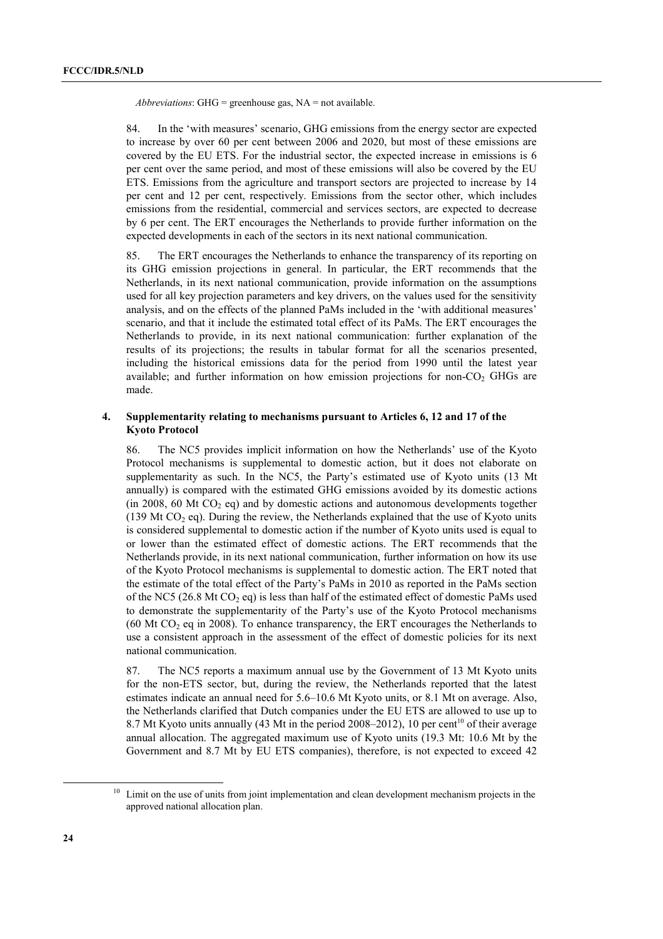*Abbreviations*: GHG = greenhouse gas, NA = not available.

84. In the ëwith measuresí scenario, GHG emissions from the energy sector are expected to increase by over 60 per cent between 2006 and 2020, but most of these emissions are covered by the EU ETS. For the industrial sector, the expected increase in emissions is 6 per cent over the same period, and most of these emissions will also be covered by the EU ETS. Emissions from the agriculture and transport sectors are projected to increase by 14 per cent and 12 per cent, respectively. Emissions from the sector other, which includes emissions from the residential, commercial and services sectors, are expected to decrease by 6 per cent. The ERT encourages the Netherlands to provide further information on the expected developments in each of the sectors in its next national communication.

85. The ERT encourages the Netherlands to enhance the transparency of its reporting on its GHG emission projections in general. In particular, the ERT recommends that the Netherlands, in its next national communication, provide information on the assumptions used for all key projection parameters and key drivers, on the values used for the sensitivity analysis, and on the effects of the planned PaMs included in the 'with additional measures' scenario, and that it include the estimated total effect of its PaMs. The ERT encourages the Netherlands to provide, in its next national communication: further explanation of the results of its projections; the results in tabular format for all the scenarios presented, including the historical emissions data for the period from 1990 until the latest year available; and further information on how emission projections for non- $CO<sub>2</sub>$  GHGs are made.

#### **4. Supplementarity relating to mechanisms pursuant to Articles 6, 12 and 17 of the Kyoto Protocol**

86. The NC5 provides implicit information on how the Netherlands' use of the Kyoto Protocol mechanisms is supplemental to domestic action, but it does not elaborate on supplementarity as such. In the NC5, the Party's estimated use of Kyoto units (13 Mt annually) is compared with the estimated GHG emissions avoided by its domestic actions (in 2008, 60 Mt  $CO<sub>2</sub>$  eq) and by domestic actions and autonomous developments together (139 Mt  $CO<sub>2</sub>$  eq). During the review, the Netherlands explained that the use of Kyoto units is considered supplemental to domestic action if the number of Kyoto units used is equal to or lower than the estimated effect of domestic actions. The ERT recommends that the Netherlands provide, in its next national communication, further information on how its use of the Kyoto Protocol mechanisms is supplemental to domestic action. The ERT noted that the estimate of the total effect of the Partyís PaMs in 2010 as reported in the PaMs section of the NC5 (26.8 Mt CO<sub>2</sub> eq) is less than half of the estimated effect of domestic PaMs used to demonstrate the supplementarity of the Partyís use of the Kyoto Protocol mechanisms  $(60$  Mt CO<sub>2</sub> eq in 2008). To enhance transparency, the ERT encourages the Netherlands to use a consistent approach in the assessment of the effect of domestic policies for its next national communication.

87. The NC5 reports a maximum annual use by the Government of 13 Mt Kyoto units for the non-ETS sector, but, during the review, the Netherlands reported that the latest estimates indicate an annual need for  $5.6-10.6$  Mt Kyoto units, or 8.1 Mt on average. Also, the Netherlands clarified that Dutch companies under the EU ETS are allowed to use up to 8.7 Mt Kyoto units annually (43 Mt in the period 2008–2012), 10 per cent<sup>10</sup> of their average annual allocation. The aggregated maximum use of Kyoto units (19.3 Mt: 10.6 Mt by the Government and 8.7 Mt by EU ETS companies), therefore, is not expected to exceed 42

<sup>&</sup>lt;sup>10</sup> Limit on the use of units from joint implementation and clean development mechanism projects in the approved national allocation plan.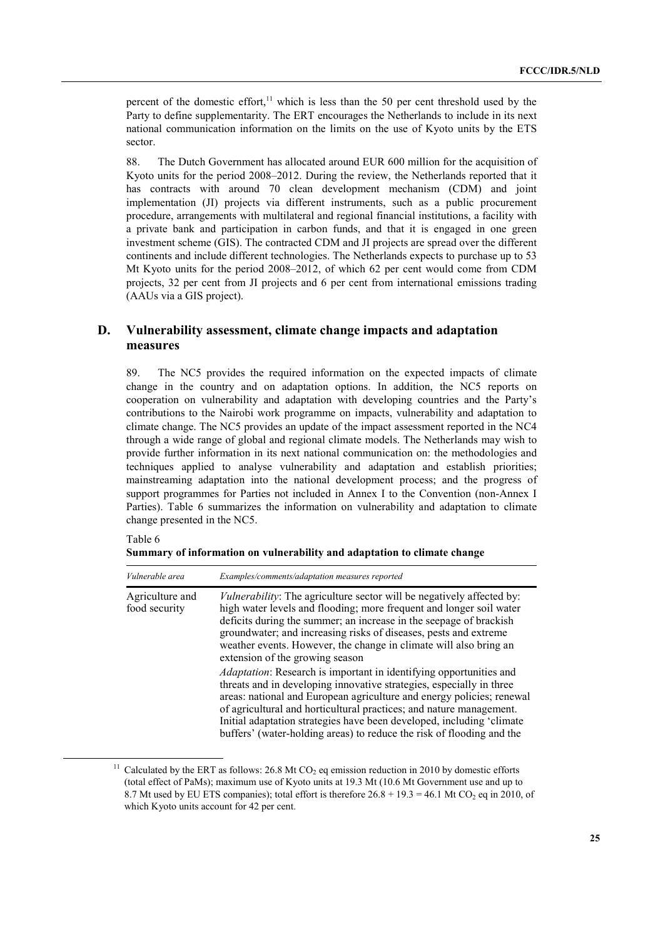percent of the domestic effort,<sup>11</sup> which is less than the 50 per cent threshold used by the Party to define supplementarity. The ERT encourages the Netherlands to include in its next national communication information on the limits on the use of Kyoto units by the ETS sector.

88. The Dutch Government has allocated around EUR 600 million for the acquisition of Kyoto units for the period  $2008-2012$ . During the review, the Netherlands reported that it has contracts with around 70 clean development mechanism (CDM) and joint implementation (JI) projects via different instruments, such as a public procurement procedure, arrangements with multilateral and regional financial institutions, a facility with a private bank and participation in carbon funds, and that it is engaged in one green investment scheme (GIS). The contracted CDM and JI projects are spread over the different continents and include different technologies. The Netherlands expects to purchase up to 53 Mt Kyoto units for the period  $2008-2012$ , of which 62 per cent would come from CDM projects, 32 per cent from JI projects and 6 per cent from international emissions trading (AAUs via a GIS project).

## **D. Vulnerability assessment, climate change impacts and adaptation measures**

89. The NC5 provides the required information on the expected impacts of climate change in the country and on adaptation options. In addition, the NC5 reports on cooperation on vulnerability and adaptation with developing countries and the Partyís contributions to the Nairobi work programme on impacts, vulnerability and adaptation to climate change. The NC5 provides an update of the impact assessment reported in the NC4 through a wide range of global and regional climate models. The Netherlands may wish to provide further information in its next national communication on: the methodologies and techniques applied to analyse vulnerability and adaptation and establish priorities; mainstreaming adaptation into the national development process; and the progress of support programmes for Parties not included in Annex I to the Convention (non-Annex I Parties). Table 6 summarizes the information on vulnerability and adaptation to climate change presented in the NC5.

Table 6

| Summary of information on vulnerability and adaptation to climate change |  |  |  |
|--------------------------------------------------------------------------|--|--|--|
|                                                                          |  |  |  |

| Vulnerable area                  | Examples/comments/adaptation measures reported                                                                                                                                                                                                                                                                                                                                                                                                      |
|----------------------------------|-----------------------------------------------------------------------------------------------------------------------------------------------------------------------------------------------------------------------------------------------------------------------------------------------------------------------------------------------------------------------------------------------------------------------------------------------------|
| Agriculture and<br>food security | <i>Vulnerability</i> : The agriculture sector will be negatively affected by:<br>high water levels and flooding; more frequent and longer soil water<br>deficits during the summer; an increase in the seepage of brackish<br>groundwater; and increasing risks of diseases, pests and extreme<br>weather events. However, the change in climate will also bring an<br>extension of the growing season                                              |
|                                  | <i>Adaptation:</i> Research is important in identifying opportunities and<br>threats and in developing innovative strategies, especially in three<br>areas: national and European agriculture and energy policies; renewal<br>of agricultural and horticultural practices; and nature management.<br>Initial adaptation strategies have been developed, including 'climate<br>buffers' (water-holding areas) to reduce the risk of flooding and the |

<sup>&</sup>lt;sup>11</sup> Calculated by the ERT as follows: 26.8 Mt CO<sub>2</sub> eq emission reduction in 2010 by domestic efforts (total effect of PaMs); maximum use of Kyoto units at 19.3 Mt (10.6 Mt Government use and up to 8.7 Mt used by EU ETS companies); total effort is therefore  $26.8 + 19.3 = 46.1$  Mt CO<sub>2</sub> eq in 2010, of which Kyoto units account for 42 per cent.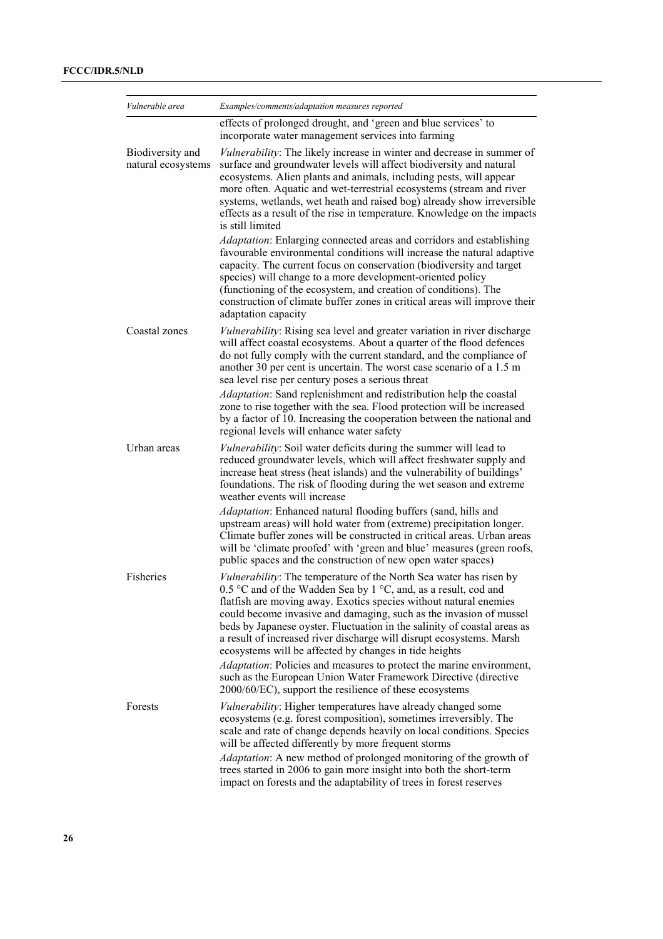| Vulnerable area                        | Examples/comments/adaptation measures reported                                                                                                                                                                                                                                                                                                                                                                                                                                                         |
|----------------------------------------|--------------------------------------------------------------------------------------------------------------------------------------------------------------------------------------------------------------------------------------------------------------------------------------------------------------------------------------------------------------------------------------------------------------------------------------------------------------------------------------------------------|
|                                        | effects of prolonged drought, and 'green and blue services' to<br>incorporate water management services into farming                                                                                                                                                                                                                                                                                                                                                                                   |
| Biodiversity and<br>natural ecosystems | Vulnerability: The likely increase in winter and decrease in summer of<br>surface and groundwater levels will affect biodiversity and natural<br>ecosystems. Alien plants and animals, including pests, will appear<br>more often. Aquatic and wet-terrestrial ecosystems (stream and river<br>systems, wetlands, wet heath and raised bog) already show irreversible<br>effects as a result of the rise in temperature. Knowledge on the impacts<br>is still limited                                  |
|                                        | Adaptation: Enlarging connected areas and corridors and establishing<br>favourable environmental conditions will increase the natural adaptive<br>capacity. The current focus on conservation (biodiversity and target<br>species) will change to a more development-oriented policy<br>(functioning of the ecosystem, and creation of conditions). The<br>construction of climate buffer zones in critical areas will improve their<br>adaptation capacity                                            |
| Coastal zones                          | <i>Vulnerability:</i> Rising sea level and greater variation in river discharge<br>will affect coastal ecosystems. About a quarter of the flood defences<br>do not fully comply with the current standard, and the compliance of<br>another 30 per cent is uncertain. The worst case scenario of a 1.5 m<br>sea level rise per century poses a serious threat                                                                                                                                          |
|                                        | Adaptation: Sand replenishment and redistribution help the coastal<br>zone to rise together with the sea. Flood protection will be increased<br>by a factor of 10. Increasing the cooperation between the national and<br>regional levels will enhance water safety                                                                                                                                                                                                                                    |
| Urban areas                            | <i>Vulnerability:</i> Soil water deficits during the summer will lead to<br>reduced groundwater levels, which will affect freshwater supply and<br>increase heat stress (heat islands) and the vulnerability of buildings'<br>foundations. The risk of flooding during the wet season and extreme<br>weather events will increase                                                                                                                                                                      |
|                                        | Adaptation: Enhanced natural flooding buffers (sand, hills and<br>upstream areas) will hold water from (extreme) precipitation longer.<br>Climate buffer zones will be constructed in critical areas. Urban areas<br>will be 'climate proofed' with 'green and blue' measures (green roofs,<br>public spaces and the construction of new open water spaces)                                                                                                                                            |
| Fisheries                              | <i>Vulnerability</i> : The temperature of the North Sea water has risen by<br>0.5 °C and of the Wadden Sea by 1 °C, and, as a result, cod and<br>flatfish are moving away. Exotics species without natural enemies<br>could become invasive and damaging, such as the invasion of mussel<br>beds by Japanese oyster. Fluctuation in the salinity of coastal areas as<br>a result of increased river discharge will disrupt ecosystems. Marsh<br>ecosystems will be affected by changes in tide heights |
|                                        | Adaptation: Policies and measures to protect the marine environment,<br>such as the European Union Water Framework Directive (directive<br>2000/60/EC), support the resilience of these ecosystems                                                                                                                                                                                                                                                                                                     |
| Forests                                | Vulnerability: Higher temperatures have already changed some<br>ecosystems (e.g. forest composition), sometimes irreversibly. The<br>scale and rate of change depends heavily on local conditions. Species<br>will be affected differently by more frequent storms                                                                                                                                                                                                                                     |
|                                        | Adaptation: A new method of prolonged monitoring of the growth of<br>trees started in 2006 to gain more insight into both the short-term<br>impact on forests and the adaptability of trees in forest reserves                                                                                                                                                                                                                                                                                         |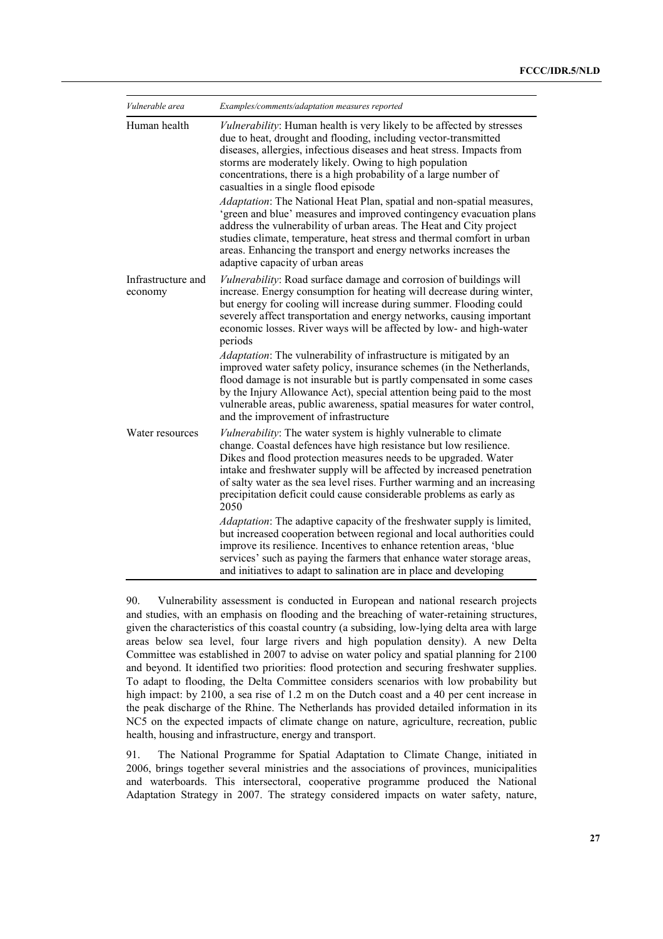| Vulnerable area                                  | Examples/comments/adaptation measures reported                                                                                                                                                                                                                                                                                                                                                                                                                                                                                                                                                                                                                                                                                                                                                    |  |  |
|--------------------------------------------------|---------------------------------------------------------------------------------------------------------------------------------------------------------------------------------------------------------------------------------------------------------------------------------------------------------------------------------------------------------------------------------------------------------------------------------------------------------------------------------------------------------------------------------------------------------------------------------------------------------------------------------------------------------------------------------------------------------------------------------------------------------------------------------------------------|--|--|
| Human health                                     | Vulnerability: Human health is very likely to be affected by stresses<br>due to heat, drought and flooding, including vector-transmitted<br>diseases, allergies, infectious diseases and heat stress. Impacts from<br>storms are moderately likely. Owing to high population<br>concentrations, there is a high probability of a large number of<br>casualties in a single flood episode<br>Adaptation: The National Heat Plan, spatial and non-spatial measures,<br>'green and blue' measures and improved contingency evacuation plans<br>address the vulnerability of urban areas. The Heat and City project<br>studies climate, temperature, heat stress and thermal comfort in urban<br>areas. Enhancing the transport and energy networks increases the<br>adaptive capacity of urban areas |  |  |
| Infrastructure and<br>economy<br>Water resources | Vulnerability: Road surface damage and corrosion of buildings will<br>increase. Energy consumption for heating will decrease during winter,<br>but energy for cooling will increase during summer. Flooding could<br>severely affect transportation and energy networks, causing important<br>economic losses. River ways will be affected by low- and high-water<br>periods                                                                                                                                                                                                                                                                                                                                                                                                                      |  |  |
|                                                  | Adaptation: The vulnerability of infrastructure is mitigated by an<br>improved water safety policy, insurance schemes (in the Netherlands,<br>flood damage is not insurable but is partly compensated in some cases<br>by the Injury Allowance Act), special attention being paid to the most<br>vulnerable areas, public awareness, spatial measures for water control,<br>and the improvement of infrastructure                                                                                                                                                                                                                                                                                                                                                                                 |  |  |
|                                                  | Vulnerability: The water system is highly vulnerable to climate<br>change. Coastal defences have high resistance but low resilience.<br>Dikes and flood protection measures needs to be upgraded. Water<br>intake and freshwater supply will be affected by increased penetration<br>of salty water as the sea level rises. Further warming and an increasing<br>precipitation deficit could cause considerable problems as early as<br>2050                                                                                                                                                                                                                                                                                                                                                      |  |  |
|                                                  | <i>Adaptation</i> : The adaptive capacity of the freshwater supply is limited,<br>but increased cooperation between regional and local authorities could<br>improve its resilience. Incentives to enhance retention areas, 'blue<br>services' such as paying the farmers that enhance water storage areas,<br>and initiatives to adapt to salination are in place and developing                                                                                                                                                                                                                                                                                                                                                                                                                  |  |  |

90. Vulnerability assessment is conducted in European and national research projects and studies, with an emphasis on flooding and the breaching of water-retaining structures, given the characteristics of this coastal country (a subsiding, low-lying delta area with large areas below sea level, four large rivers and high population density). A new Delta Committee was established in 2007 to advise on water policy and spatial planning for 2100 and beyond. It identified two priorities: flood protection and securing freshwater supplies. To adapt to flooding, the Delta Committee considers scenarios with low probability but high impact: by 2100, a sea rise of 1.2 m on the Dutch coast and a 40 per cent increase in the peak discharge of the Rhine. The Netherlands has provided detailed information in its NC5 on the expected impacts of climate change on nature, agriculture, recreation, public health, housing and infrastructure, energy and transport.

91. The National Programme for Spatial Adaptation to Climate Change, initiated in 2006, brings together several ministries and the associations of provinces, municipalities and waterboards. This intersectoral, cooperative programme produced the National Adaptation Strategy in 2007. The strategy considered impacts on water safety, nature,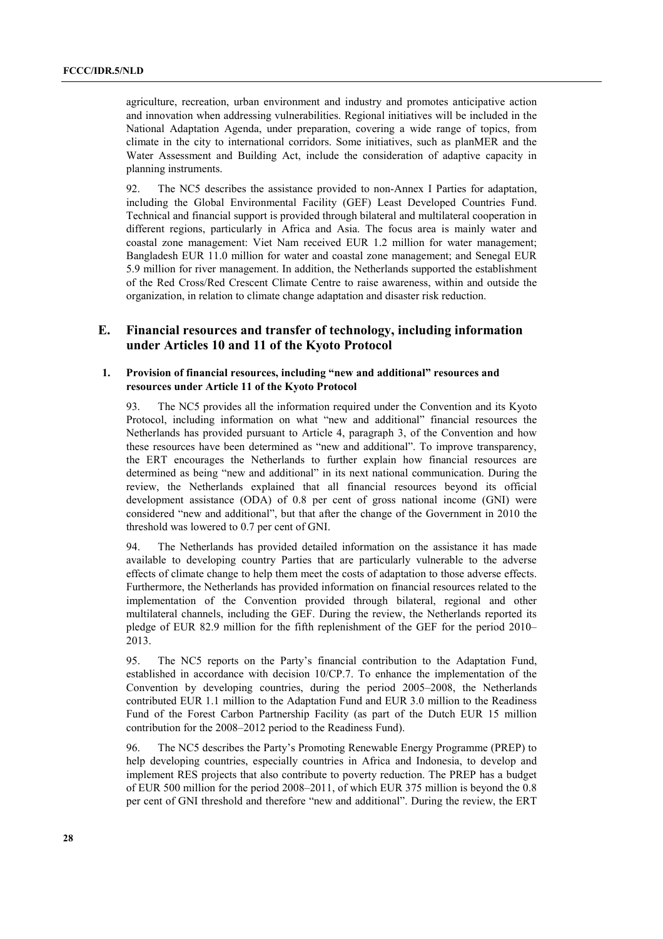agriculture, recreation, urban environment and industry and promotes anticipative action and innovation when addressing vulnerabilities. Regional initiatives will be included in the National Adaptation Agenda, under preparation, covering a wide range of topics, from climate in the city to international corridors. Some initiatives, such as planMER and the Water Assessment and Building Act, include the consideration of adaptive capacity in planning instruments.

92. The NC5 describes the assistance provided to non-Annex I Parties for adaptation, including the Global Environmental Facility (GEF) Least Developed Countries Fund. Technical and financial support is provided through bilateral and multilateral cooperation in different regions, particularly in Africa and Asia. The focus area is mainly water and coastal zone management: Viet Nam received EUR 1.2 million for water management; Bangladesh EUR 11.0 million for water and coastal zone management; and Senegal EUR 5.9 million for river management. In addition, the Netherlands supported the establishment of the Red Cross/Red Crescent Climate Centre to raise awareness, within and outside the organization, in relation to climate change adaptation and disaster risk reduction.

## **E. Financial resources and transfer of technology, including information under Articles 10 and 11 of the Kyoto Protocol**

#### **1. Provision of financial resources, including "new and additional" resources and resources under Article 11 of the Kyoto Protocol**

93. The NC5 provides all the information required under the Convention and its Kyoto Protocol, including information on what "new and additional" financial resources the Netherlands has provided pursuant to Article 4, paragraph 3, of the Convention and how these resources have been determined as "new and additional". To improve transparency, the ERT encourages the Netherlands to further explain how financial resources are determined as being "new and additional" in its next national communication. During the review, the Netherlands explained that all financial resources beyond its official development assistance (ODA) of 0.8 per cent of gross national income (GNI) were considered "new and additional", but that after the change of the Government in 2010 the threshold was lowered to 0.7 per cent of GNI.

94. The Netherlands has provided detailed information on the assistance it has made available to developing country Parties that are particularly vulnerable to the adverse effects of climate change to help them meet the costs of adaptation to those adverse effects. Furthermore, the Netherlands has provided information on financial resources related to the implementation of the Convention provided through bilateral, regional and other multilateral channels, including the GEF. During the review, the Netherlands reported its pledge of EUR 82.9 million for the fifth replenishment of the GEF for the period 2010– 2013.

95. The NC5 reports on the Party's financial contribution to the Adaptation Fund, established in accordance with decision 10/CP.7. To enhance the implementation of the Convention by developing countries, during the period 2005–2008, the Netherlands contributed EUR 1.1 million to the Adaptation Fund and EUR 3.0 million to the Readiness Fund of the Forest Carbon Partnership Facility (as part of the Dutch EUR 15 million contribution for the 2008–2012 period to the Readiness Fund).

96. The NC5 describes the Partyís Promoting Renewable Energy Programme (PREP) to help developing countries, especially countries in Africa and Indonesia, to develop and implement RES projects that also contribute to poverty reduction. The PREP has a budget of EUR 500 million for the period  $2008-2011$ , of which EUR 375 million is beyond the 0.8 per cent of GNI threshold and therefore "new and additional". During the review, the ERT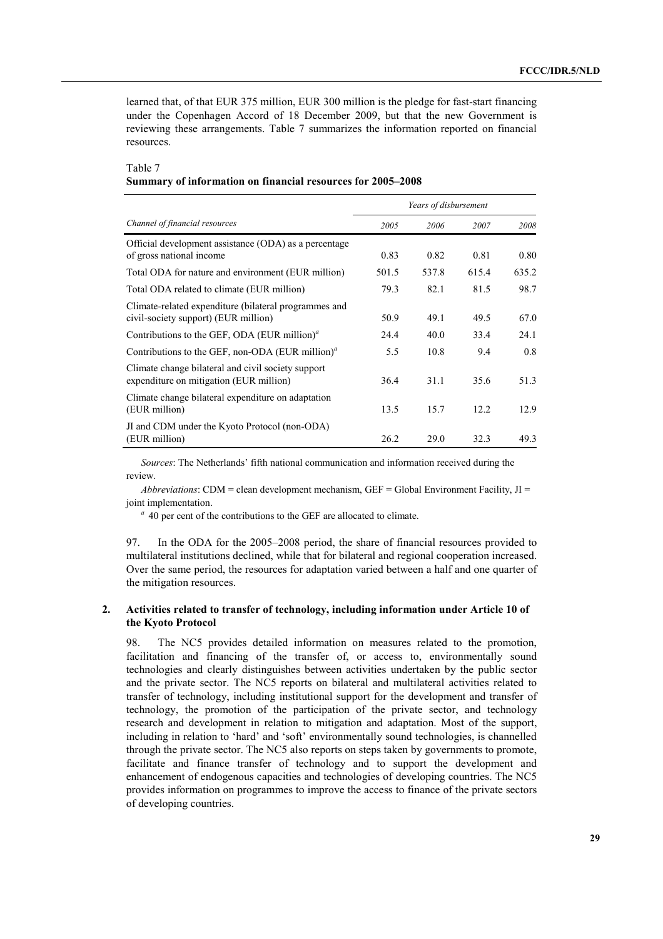learned that, of that EUR 375 million, EUR 300 million is the pledge for fast-start financing under the Copenhagen Accord of 18 December 2009, but that the new Government is reviewing these arrangements. Table 7 summarizes the information reported on financial resources.

#### Table 7

#### **Summary of information on financial resources for 2005–2008**

|                                                                                               | Years of disbursement |       |       |       |
|-----------------------------------------------------------------------------------------------|-----------------------|-------|-------|-------|
| Channel of financial resources                                                                | 2005                  | 2006  | 2007  | 2008  |
| Official development assistance (ODA) as a percentage<br>of gross national income             | 0.83                  | 0.82  | 0.81  | 0.80  |
| Total ODA for nature and environment (EUR million)                                            | 501.5                 | 537.8 | 615.4 | 635.2 |
| Total ODA related to climate (EUR million)                                                    | 79.3                  | 82.1  | 81.5  | 98.7  |
| Climate-related expenditure (bilateral programmes and<br>civil-society support) (EUR million) | 50.9                  | 49.1  | 49.5  | 67.0  |
| Contributions to the GEF, ODA (EUR million) <sup><math>a</math></sup>                         | 24.4                  | 40.0  | 33.4  | 24.1  |
| Contributions to the GEF, non-ODA (EUR million) <sup><math>a</math></sup>                     | 5.5                   | 10.8  | 9.4   | 0.8   |
| Climate change bilateral and civil society support<br>expenditure on mitigation (EUR million) | 36.4                  | 31.1  | 35.6  | 51.3  |
| Climate change bilateral expenditure on adaptation<br>(EUR million)                           | 13.5                  | 15.7  | 12.2  | 12.9  |
| JI and CDM under the Kyoto Protocol (non-ODA)<br>(EUR million)                                | 26.2                  | 29.0  | 32.3  | 49.3  |

*Sources*: The Netherlands' fifth national communication and information received during the review.

*Abbreviations*: CDM = clean development mechanism, GEF = Global Environment Facility,  $JI =$ joint implementation.

<sup>*a*</sup> 40 per cent of the contributions to the GEF are allocated to climate.

97. In the ODA for the 2005–2008 period, the share of financial resources provided to multilateral institutions declined, while that for bilateral and regional cooperation increased. Over the same period, the resources for adaptation varied between a half and one quarter of the mitigation resources.

#### **2. Activities related to transfer of technology, including information under Article 10 of the Kyoto Protocol**

98. The NC5 provides detailed information on measures related to the promotion, facilitation and financing of the transfer of, or access to, environmentally sound technologies and clearly distinguishes between activities undertaken by the public sector and the private sector. The NC5 reports on bilateral and multilateral activities related to transfer of technology, including institutional support for the development and transfer of technology, the promotion of the participation of the private sector, and technology research and development in relation to mitigation and adaptation. Most of the support, including in relation to 'hard' and 'soft' environmentally sound technologies, is channelled through the private sector. The NC5 also reports on steps taken by governments to promote, facilitate and finance transfer of technology and to support the development and enhancement of endogenous capacities and technologies of developing countries. The NC5 provides information on programmes to improve the access to finance of the private sectors of developing countries.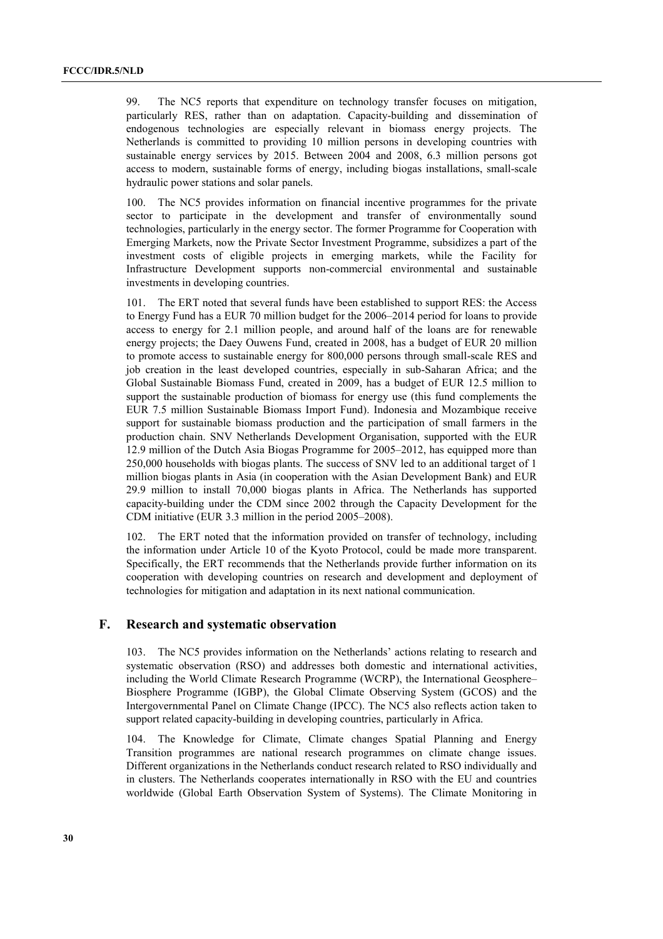99. The NC5 reports that expenditure on technology transfer focuses on mitigation, particularly RES, rather than on adaptation. Capacity-building and dissemination of endogenous technologies are especially relevant in biomass energy projects. The Netherlands is committed to providing 10 million persons in developing countries with sustainable energy services by 2015. Between 2004 and 2008, 6.3 million persons got access to modern, sustainable forms of energy, including biogas installations, small-scale hydraulic power stations and solar panels.

100. The NC5 provides information on financial incentive programmes for the private sector to participate in the development and transfer of environmentally sound technologies, particularly in the energy sector. The former Programme for Cooperation with Emerging Markets, now the Private Sector Investment Programme, subsidizes a part of the investment costs of eligible projects in emerging markets, while the Facility for Infrastructure Development supports non-commercial environmental and sustainable investments in developing countries.

101. The ERT noted that several funds have been established to support RES: the Access to Energy Fund has a EUR 70 million budget for the  $2006-2014$  period for loans to provide access to energy for 2.1 million people, and around half of the loans are for renewable energy projects; the Daey Ouwens Fund, created in 2008, has a budget of EUR 20 million to promote access to sustainable energy for 800,000 persons through small-scale RES and job creation in the least developed countries, especially in sub-Saharan Africa; and the Global Sustainable Biomass Fund, created in 2009, has a budget of EUR 12.5 million to support the sustainable production of biomass for energy use (this fund complements the EUR 7.5 million Sustainable Biomass Import Fund). Indonesia and Mozambique receive support for sustainable biomass production and the participation of small farmers in the production chain. SNV Netherlands Development Organisation, supported with the EUR 12.9 million of the Dutch Asia Biogas Programme for  $2005-2012$ , has equipped more than 250,000 households with biogas plants. The success of SNV led to an additional target of 1 million biogas plants in Asia (in cooperation with the Asian Development Bank) and EUR 29.9 million to install 70,000 biogas plants in Africa. The Netherlands has supported capacity-building under the CDM since 2002 through the Capacity Development for the CDM initiative (EUR  $3.3$  million in the period  $2005-2008$ ).

102. The ERT noted that the information provided on transfer of technology, including the information under Article 10 of the Kyoto Protocol, could be made more transparent. Specifically, the ERT recommends that the Netherlands provide further information on its cooperation with developing countries on research and development and deployment of technologies for mitigation and adaptation in its next national communication.

#### **F. Research and systematic observation**

103. The NC5 provides information on the Netherlands' actions relating to research and systematic observation (RSO) and addresses both domestic and international activities, including the World Climate Research Programme (WCRP), the International Geosphere– Biosphere Programme (IGBP), the Global Climate Observing System (GCOS) and the Intergovernmental Panel on Climate Change (IPCC). The NC5 also reflects action taken to support related capacity-building in developing countries, particularly in Africa.

104. The Knowledge for Climate, Climate changes Spatial Planning and Energy Transition programmes are national research programmes on climate change issues. Different organizations in the Netherlands conduct research related to RSO individually and in clusters. The Netherlands cooperates internationally in RSO with the EU and countries worldwide (Global Earth Observation System of Systems). The Climate Monitoring in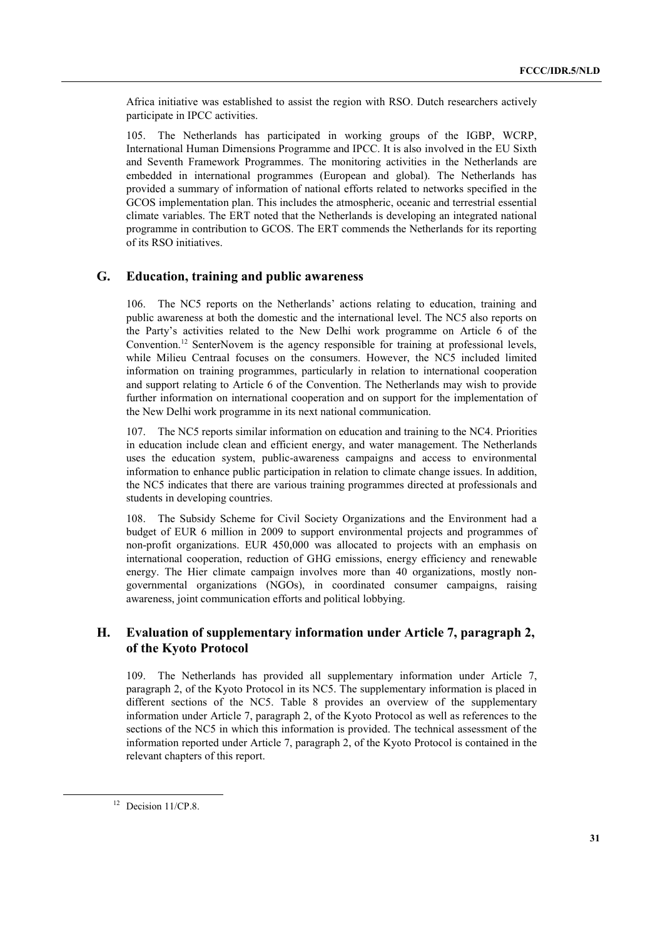Africa initiative was established to assist the region with RSO. Dutch researchers actively participate in IPCC activities.

105. The Netherlands has participated in working groups of the IGBP, WCRP, International Human Dimensions Programme and IPCC. It is also involved in the EU Sixth and Seventh Framework Programmes. The monitoring activities in the Netherlands are embedded in international programmes (European and global). The Netherlands has provided a summary of information of national efforts related to networks specified in the GCOS implementation plan. This includes the atmospheric, oceanic and terrestrial essential climate variables. The ERT noted that the Netherlands is developing an integrated national programme in contribution to GCOS. The ERT commends the Netherlands for its reporting of its RSO initiatives.

## **G. Education, training and public awareness**

106. The NC5 reports on the Netherlandsí actions relating to education, training and public awareness at both the domestic and the international level. The NC5 also reports on the Partyís activities related to the New Delhi work programme on Article 6 of the Convention.<sup>12</sup> SenterNovem is the agency responsible for training at professional levels, while Milieu Centraal focuses on the consumers. However, the NC5 included limited information on training programmes, particularly in relation to international cooperation and support relating to Article 6 of the Convention. The Netherlands may wish to provide further information on international cooperation and on support for the implementation of the New Delhi work programme in its next national communication.

107. The NC5 reports similar information on education and training to the NC4. Priorities in education include clean and efficient energy, and water management. The Netherlands uses the education system, public-awareness campaigns and access to environmental information to enhance public participation in relation to climate change issues. In addition, the NC5 indicates that there are various training programmes directed at professionals and students in developing countries.

108. The Subsidy Scheme for Civil Society Organizations and the Environment had a budget of EUR 6 million in 2009 to support environmental projects and programmes of non-profit organizations. EUR 450,000 was allocated to projects with an emphasis on international cooperation, reduction of GHG emissions, energy efficiency and renewable energy. The Hier climate campaign involves more than 40 organizations, mostly nongovernmental organizations (NGOs), in coordinated consumer campaigns, raising awareness, joint communication efforts and political lobbying.

## **H. Evaluation of supplementary information under Article 7, paragraph 2, of the Kyoto Protocol**

109. The Netherlands has provided all supplementary information under Article 7, paragraph 2, of the Kyoto Protocol in its NC5. The supplementary information is placed in different sections of the NC5. Table 8 provides an overview of the supplementary information under Article 7, paragraph 2, of the Kyoto Protocol as well as references to the sections of the NC5 in which this information is provided. The technical assessment of the information reported under Article 7, paragraph 2, of the Kyoto Protocol is contained in the relevant chapters of this report.

<sup>&</sup>lt;sup>12</sup> Decision 11/CP.8.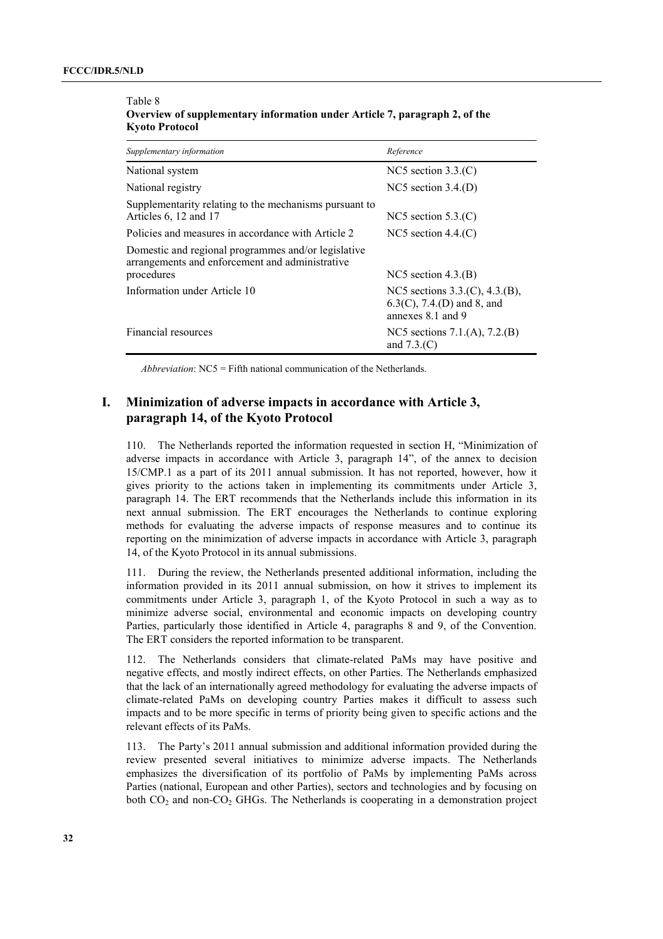| Supplementary information                                                                                            | Reference                                                                            |  |  |
|----------------------------------------------------------------------------------------------------------------------|--------------------------------------------------------------------------------------|--|--|
| National system                                                                                                      | NC5 section $3.3($ C $)$                                                             |  |  |
| National registry                                                                                                    | NC5 section $3.4(p)$                                                                 |  |  |
| Supplementarity relating to the mechanisms pursuant to<br>Articles 6, 12 and 17                                      | NC5 section $5.3($ C)                                                                |  |  |
| Policies and measures in accordance with Article 2                                                                   | NC5 section $4.4(C)$                                                                 |  |  |
| Domestic and regional programmes and/or legislative<br>arrangements and enforcement and administrative<br>procedures | NC5 section $4.3(B)$                                                                 |  |  |
| Information under Article 10                                                                                         | NC5 sections 3.3.(C), 4.3.(B),<br>$6.3(C)$ , 7.4.(D) and 8, and<br>annexes 8.1 and 9 |  |  |
| Financial resources                                                                                                  | NC5 sections 7.1.(A), 7.2.(B)<br>and $7.3(C)$                                        |  |  |

Table 8 **Overview of supplementary information under Article 7, paragraph 2, of the Kyoto Protocol** 

*Abbreviation*: NC5 = Fifth national communication of the Netherlands.

## **I. Minimization of adverse impacts in accordance with Article 3, paragraph 14, of the Kyoto Protocol**

110. The Netherlands reported the information requested in section H, "Minimization of adverse impacts in accordance with Article 3, paragraph 14", of the annex to decision 15/CMP.1 as a part of its 2011 annual submission. It has not reported, however, how it gives priority to the actions taken in implementing its commitments under Article 3, paragraph 14. The ERT recommends that the Netherlands include this information in its next annual submission. The ERT encourages the Netherlands to continue exploring methods for evaluating the adverse impacts of response measures and to continue its reporting on the minimization of adverse impacts in accordance with Article 3, paragraph 14, of the Kyoto Protocol in its annual submissions.

111. During the review, the Netherlands presented additional information, including the information provided in its 2011 annual submission, on how it strives to implement its commitments under Article 3, paragraph 1, of the Kyoto Protocol in such a way as to minimize adverse social, environmental and economic impacts on developing country Parties, particularly those identified in Article 4, paragraphs 8 and 9, of the Convention. The ERT considers the reported information to be transparent.

112. The Netherlands considers that climate-related PaMs may have positive and negative effects, and mostly indirect effects, on other Parties. The Netherlands emphasized that the lack of an internationally agreed methodology for evaluating the adverse impacts of climate-related PaMs on developing country Parties makes it difficult to assess such impacts and to be more specific in terms of priority being given to specific actions and the relevant effects of its PaMs.

113. The Partyís 2011 annual submission and additional information provided during the review presented several initiatives to minimize adverse impacts. The Netherlands emphasizes the diversification of its portfolio of PaMs by implementing PaMs across Parties (national, European and other Parties), sectors and technologies and by focusing on both CO<sub>2</sub> and non-CO<sub>2</sub> GHGs. The Netherlands is cooperating in a demonstration project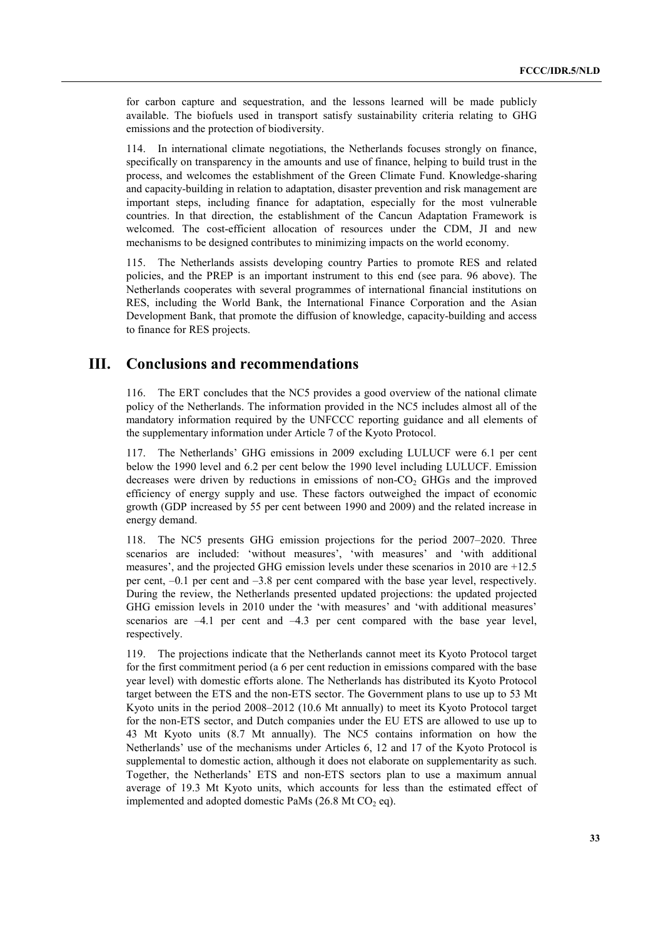for carbon capture and sequestration, and the lessons learned will be made publicly available. The biofuels used in transport satisfy sustainability criteria relating to GHG emissions and the protection of biodiversity.

114. In international climate negotiations, the Netherlands focuses strongly on finance, specifically on transparency in the amounts and use of finance, helping to build trust in the process, and welcomes the establishment of the Green Climate Fund. Knowledge-sharing and capacity-building in relation to adaptation, disaster prevention and risk management are important steps, including finance for adaptation, especially for the most vulnerable countries. In that direction, the establishment of the Cancun Adaptation Framework is welcomed. The cost-efficient allocation of resources under the CDM, JI and new mechanisms to be designed contributes to minimizing impacts on the world economy.

115. The Netherlands assists developing country Parties to promote RES and related policies, and the PREP is an important instrument to this end (see para. 96 above). The Netherlands cooperates with several programmes of international financial institutions on RES, including the World Bank, the International Finance Corporation and the Asian Development Bank, that promote the diffusion of knowledge, capacity-building and access to finance for RES projects.

## **III. Conclusions and recommendations**

116. The ERT concludes that the NC5 provides a good overview of the national climate policy of the Netherlands. The information provided in the NC5 includes almost all of the mandatory information required by the UNFCCC reporting guidance and all elements of the supplementary information under Article 7 of the Kyoto Protocol.

117. The Netherlandsí GHG emissions in 2009 excluding LULUCF were 6.1 per cent below the 1990 level and 6.2 per cent below the 1990 level including LULUCF. Emission decreases were driven by reductions in emissions of non- $CO<sub>2</sub>$  GHGs and the improved efficiency of energy supply and use. These factors outweighed the impact of economic growth (GDP increased by 55 per cent between 1990 and 2009) and the related increase in energy demand.

118. The NC5 presents GHG emission projections for the period 2007–2020. Three scenarios are included: 'without measures', 'with measures' and 'with additional measures', and the projected GHG emission levels under these scenarios in  $2010$  are  $+12.5$ per cent,  $-0.1$  per cent and  $-3.8$  per cent compared with the base year level, respectively. During the review, the Netherlands presented updated projections: the updated projected GHG emission levels in 2010 under the 'with measures' and 'with additional measures' scenarios are  $-4.1$  per cent and  $-4.3$  per cent compared with the base year level, respectively.

119. The projections indicate that the Netherlands cannot meet its Kyoto Protocol target for the first commitment period (a 6 per cent reduction in emissions compared with the base year level) with domestic efforts alone. The Netherlands has distributed its Kyoto Protocol target between the ETS and the non-ETS sector. The Government plans to use up to 53 Mt Kyoto units in the period  $2008-2012$  (10.6 Mt annually) to meet its Kyoto Protocol target for the non-ETS sector, and Dutch companies under the EU ETS are allowed to use up to 43 Mt Kyoto units (8.7 Mt annually). The NC5 contains information on how the Netherlands' use of the mechanisms under Articles 6, 12 and 17 of the Kyoto Protocol is supplemental to domestic action, although it does not elaborate on supplementarity as such. Together, the Netherlands' ETS and non-ETS sectors plan to use a maximum annual average of 19.3 Mt Kyoto units, which accounts for less than the estimated effect of implemented and adopted domestic PaMs  $(26.8 \text{ Mt } CO_2 \text{ eq})$ .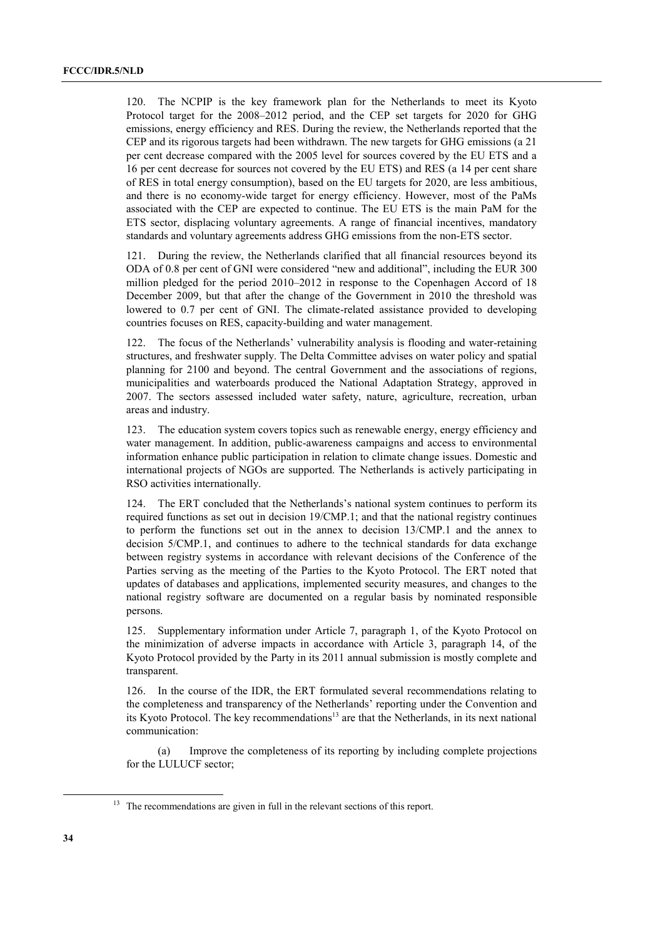120. The NCPIP is the key framework plan for the Netherlands to meet its Kyoto Protocol target for the 2008–2012 period, and the CEP set targets for 2020 for GHG emissions, energy efficiency and RES. During the review, the Netherlands reported that the CEP and its rigorous targets had been withdrawn. The new targets for GHG emissions (a 21 per cent decrease compared with the 2005 level for sources covered by the EU ETS and a 16 per cent decrease for sources not covered by the EU ETS) and RES (a 14 per cent share of RES in total energy consumption), based on the EU targets for 2020, are less ambitious, and there is no economy-wide target for energy efficiency. However, most of the PaMs associated with the CEP are expected to continue. The EU ETS is the main PaM for the ETS sector, displacing voluntary agreements. A range of financial incentives, mandatory standards and voluntary agreements address GHG emissions from the non-ETS sector.

121. During the review, the Netherlands clarified that all financial resources beyond its ODA of 0.8 per cent of GNI were considered "new and additional", including the EUR 300 million pledged for the period  $2010-2012$  in response to the Copenhagen Accord of 18 December 2009, but that after the change of the Government in 2010 the threshold was lowered to 0.7 per cent of GNI. The climate-related assistance provided to developing countries focuses on RES, capacity-building and water management.

122. The focus of the Netherlands' vulnerability analysis is flooding and water-retaining structures, and freshwater supply. The Delta Committee advises on water policy and spatial planning for 2100 and beyond. The central Government and the associations of regions, municipalities and waterboards produced the National Adaptation Strategy, approved in 2007. The sectors assessed included water safety, nature, agriculture, recreation, urban areas and industry.

123. The education system covers topics such as renewable energy, energy efficiency and water management. In addition, public-awareness campaigns and access to environmental information enhance public participation in relation to climate change issues. Domestic and international projects of NGOs are supported. The Netherlands is actively participating in RSO activities internationally.

124. The ERT concluded that the Netherlands's national system continues to perform its required functions as set out in decision 19/CMP.1; and that the national registry continues to perform the functions set out in the annex to decision 13/CMP.1 and the annex to decision 5/CMP.1, and continues to adhere to the technical standards for data exchange between registry systems in accordance with relevant decisions of the Conference of the Parties serving as the meeting of the Parties to the Kyoto Protocol. The ERT noted that updates of databases and applications, implemented security measures, and changes to the national registry software are documented on a regular basis by nominated responsible persons.

125. Supplementary information under Article 7, paragraph 1, of the Kyoto Protocol on the minimization of adverse impacts in accordance with Article 3, paragraph 14, of the Kyoto Protocol provided by the Party in its 2011 annual submission is mostly complete and transparent.

126. In the course of the IDR, the ERT formulated several recommendations relating to the completeness and transparency of the Netherlands' reporting under the Convention and its Kyoto Protocol. The key recommendations<sup>13</sup> are that the Netherlands, in its next national communication:

 (a) Improve the completeness of its reporting by including complete projections for the LULUCF sector;

<sup>&</sup>lt;sup>13</sup> The recommendations are given in full in the relevant sections of this report.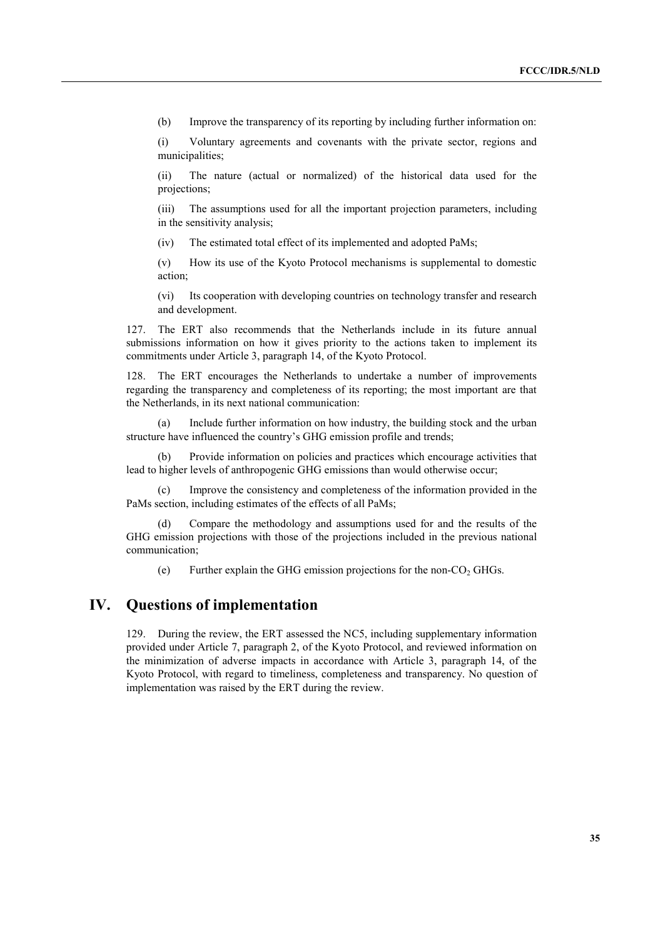(b) Improve the transparency of its reporting by including further information on:

(i) Voluntary agreements and covenants with the private sector, regions and municipalities;

(ii) The nature (actual or normalized) of the historical data used for the projections;

(iii) The assumptions used for all the important projection parameters, including in the sensitivity analysis;

(iv) The estimated total effect of its implemented and adopted PaMs;

(v) How its use of the Kyoto Protocol mechanisms is supplemental to domestic action;

(vi) Its cooperation with developing countries on technology transfer and research and development.

127. The ERT also recommends that the Netherlands include in its future annual submissions information on how it gives priority to the actions taken to implement its commitments under Article 3, paragraph 14, of the Kyoto Protocol.

128. The ERT encourages the Netherlands to undertake a number of improvements regarding the transparency and completeness of its reporting; the most important are that the Netherlands, in its next national communication:

 (a) Include further information on how industry, the building stock and the urban structure have influenced the country's GHG emission profile and trends;

 (b) Provide information on policies and practices which encourage activities that lead to higher levels of anthropogenic GHG emissions than would otherwise occur;

 (c) Improve the consistency and completeness of the information provided in the PaMs section, including estimates of the effects of all PaMs;

 (d) Compare the methodology and assumptions used for and the results of the GHG emission projections with those of the projections included in the previous national communication;

(e) Further explain the GHG emission projections for the non- $CO<sub>2</sub>$  GHGs.

## **IV. Questions of implementation**

129. During the review, the ERT assessed the NC5, including supplementary information provided under Article 7, paragraph 2, of the Kyoto Protocol, and reviewed information on the minimization of adverse impacts in accordance with Article 3, paragraph 14, of the Kyoto Protocol, with regard to timeliness, completeness and transparency. No question of implementation was raised by the ERT during the review.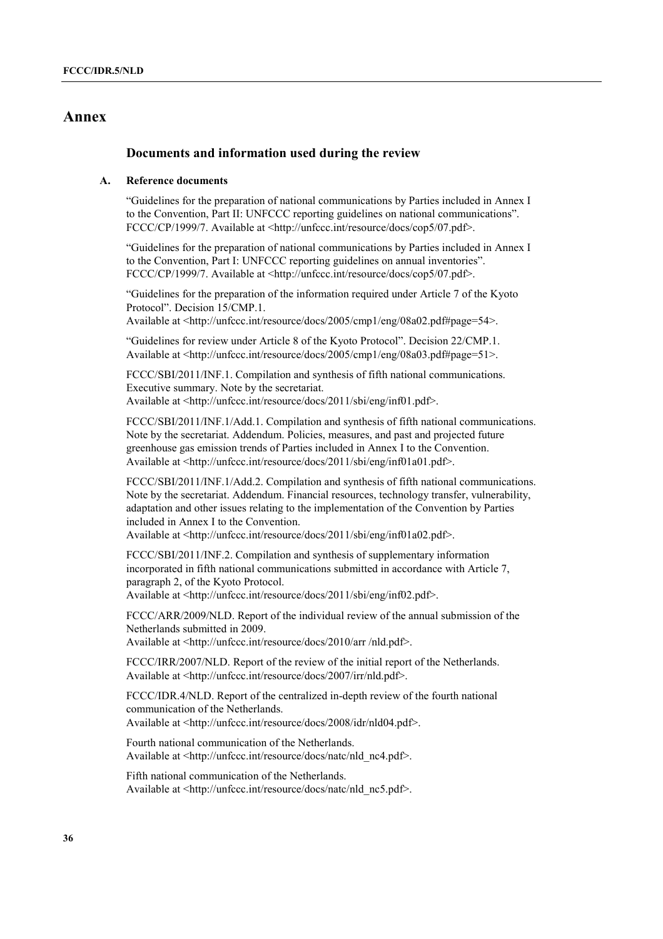## **Annex**

## **Documents and information used during the review**

#### **A. Reference documents**

ìGuidelines for the preparation of national communications by Parties included in Annex I to the Convention, Part II: UNFCCC reporting guidelines on national communications". FCCC/CP/1999/7. Available at <http://unfccc.int/resource/docs/cop5/07.pdf>.

ìGuidelines for the preparation of national communications by Parties included in Annex I to the Convention, Part I: UNFCCC reporting guidelines on annual inventories". FCCC/CP/1999/7. Available at <http://unfccc.int/resource/docs/cop5/07.pdf>.

ìGuidelines for the preparation of the information required under Article 7 of the Kyoto Protocol". Decision 15/CMP.1.

Available at <http://unfccc.int/resource/docs/2005/cmp1/eng/08a02.pdf#page=54>.

ìGuidelines for review under Article 8 of the Kyoto Protocolî. Decision 22/CMP.1. Available at <http://unfccc.int/resource/docs/2005/cmp1/eng/08a03.pdf#page=51>.

FCCC/SBI/2011/INF.1. Compilation and synthesis of fifth national communications. Executive summary. Note by the secretariat. Available at <http://unfccc.int/resource/docs/2011/sbi/eng/inf01.pdf>.

FCCC/SBI/2011/INF.1/Add.1. Compilation and synthesis of fifth national communications. Note by the secretariat. Addendum. Policies, measures, and past and projected future greenhouse gas emission trends of Parties included in Annex I to the Convention. Available at <http://unfccc.int/resource/docs/2011/sbi/eng/inf01a01.pdf>.

FCCC/SBI/2011/INF.1/Add.2. Compilation and synthesis of fifth national communications. Note by the secretariat. Addendum. Financial resources, technology transfer, vulnerability, adaptation and other issues relating to the implementation of the Convention by Parties included in Annex I to the Convention.

Available at <http://unfccc.int/resource/docs/2011/sbi/eng/inf01a02.pdf>.

FCCC/SBI/2011/INF.2. Compilation and synthesis of supplementary information incorporated in fifth national communications submitted in accordance with Article 7, paragraph 2, of the Kyoto Protocol. Available at <http://unfccc.int/resource/docs/2011/sbi/eng/inf02.pdf>.

FCCC/ARR/2009/NLD. Report of the individual review of the annual submission of the Netherlands submitted in 2009.

Available at <http://unfccc.int/resource/docs/2010/arr /nld.pdf>.

FCCC/IRR/2007/NLD. Report of the review of the initial report of the Netherlands. Available at <http://unfccc.int/resource/docs/2007/irr/nld.pdf>.

FCCC/IDR.4/NLD. Report of the centralized in-depth review of the fourth national communication of the Netherlands. Available at <http://unfccc.int/resource/docs/2008/idr/nld04.pdf>.

Fourth national communication of the Netherlands. Available at <http://unfccc.int/resource/docs/natc/nld\_nc4.pdf>.

Fifth national communication of the Netherlands. Available at <http://unfccc.int/resource/docs/natc/nld\_nc5.pdf>.